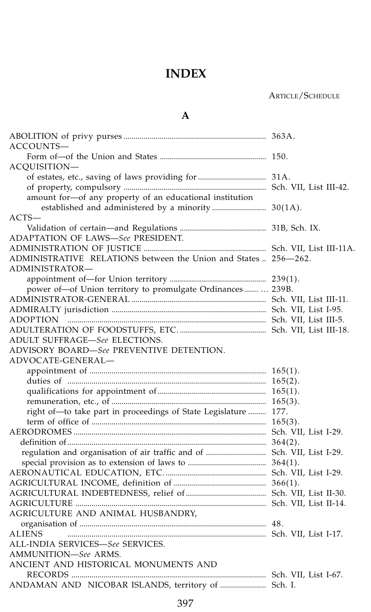### ARTICLE/SCHEDULE

### **A**

| ACCOUNTS—                                                       |  |
|-----------------------------------------------------------------|--|
|                                                                 |  |
| ACOUISITION-                                                    |  |
|                                                                 |  |
|                                                                 |  |
| amount for-of any property of an educational institution        |  |
| established and administered by a minority 30(1A).              |  |
| $ACTS-$                                                         |  |
|                                                                 |  |
| ADAPTATION OF LAWS—See PRESIDENT.                               |  |
|                                                                 |  |
| ADMINISTRATIVE RELATIONS between the Union and States  256-262. |  |
| ADMINISTRATOR-                                                  |  |
|                                                                 |  |
| power of -of Union territory to promulgate Ordinances 239B.     |  |
|                                                                 |  |
|                                                                 |  |
|                                                                 |  |
|                                                                 |  |
| ADULT SUFFRAGE-See ELECTIONS.                                   |  |
| ADVISORY BOARD-See PREVENTIVE DETENTION.                        |  |
| ADVOCATE-GENERAL—                                               |  |
|                                                                 |  |
|                                                                 |  |
|                                                                 |  |
|                                                                 |  |
| right of-to take part in proceedings of State Legislature  177. |  |
|                                                                 |  |
|                                                                 |  |
|                                                                 |  |
|                                                                 |  |
|                                                                 |  |
|                                                                 |  |
|                                                                 |  |
|                                                                 |  |
|                                                                 |  |
| AGRICULTURE AND ANIMAL HUSBANDRY,                               |  |
|                                                                 |  |
| ALIENS                                                          |  |
| ALL-INDIA SERVICES—See SERVICES.                                |  |
|                                                                 |  |
| AMMUNITION—See ARMS.                                            |  |
| ANCIENT AND HISTORICAL MONUMENTS AND                            |  |
|                                                                 |  |
| ANDAMAN AND NICOBAR ISLANDS, territory of  Sch. I.              |  |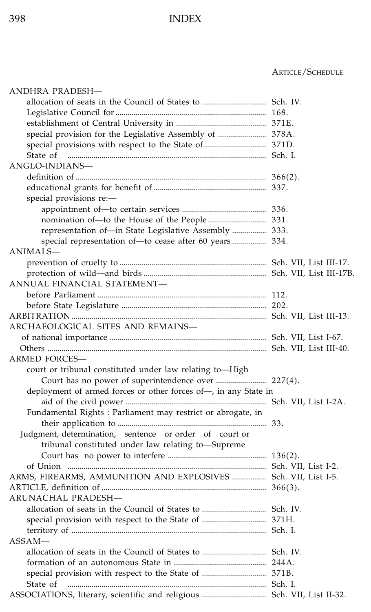| ANDHRA PRADESH—                                                 |  |
|-----------------------------------------------------------------|--|
|                                                                 |  |
|                                                                 |  |
|                                                                 |  |
| special provision for the Legislative Assembly of  378A.        |  |
|                                                                 |  |
| State of                                                        |  |
| ANGLO-INDIANS—                                                  |  |
|                                                                 |  |
|                                                                 |  |
| special provisions re:-                                         |  |
|                                                                 |  |
|                                                                 |  |
| representation of-in State Legislative Assembly  333.           |  |
|                                                                 |  |
| ANIMALS—                                                        |  |
|                                                                 |  |
|                                                                 |  |
| ANNUAL FINANCIAL STATEMENT—                                     |  |
|                                                                 |  |
|                                                                 |  |
|                                                                 |  |
| ARCHAEOLOGICAL SITES AND REMAINS-                               |  |
|                                                                 |  |
|                                                                 |  |
| ARMED FORCES-                                                   |  |
| court or tribunal constituted under law relating to—High        |  |
| Court has no power of superintendence over  227(4).             |  |
| deployment of armed forces or other forces of-, in any State in |  |
|                                                                 |  |
| Fundamental Rights : Parliament may restrict or abrogate, in    |  |
|                                                                 |  |
| Judgment, determination, sentence or order of court or          |  |
| tribunal constituted under law relating to-Supreme              |  |
|                                                                 |  |
|                                                                 |  |
| ARMS, FIREARMS, AMMUNITION AND EXPLOSIVES  Sch. VII, List I-5.  |  |
|                                                                 |  |
| ARUNACHAL PRADESH—                                              |  |
|                                                                 |  |
|                                                                 |  |
|                                                                 |  |
| $ASSAM-$                                                        |  |
|                                                                 |  |
|                                                                 |  |
| State of                                                        |  |
|                                                                 |  |
|                                                                 |  |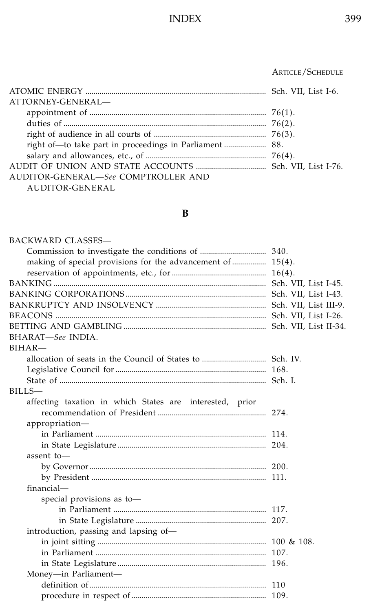### ................................................................................................... ARTICLE/SCHEDULE

| ATTORNEY-GENERAL-                   |  |
|-------------------------------------|--|
|                                     |  |
|                                     |  |
|                                     |  |
|                                     |  |
|                                     |  |
|                                     |  |
| AUDITOR-GENERAL-See COMPTROLLER AND |  |
| <b>AUDITOR-GENERAL</b>              |  |

### **B**

| <b>BACKWARD CLASSES-</b>                                    |  |
|-------------------------------------------------------------|--|
|                                                             |  |
| making of special provisions for the advancement of  15(4). |  |
|                                                             |  |
|                                                             |  |
|                                                             |  |
|                                                             |  |
|                                                             |  |
|                                                             |  |
| BHARAT-See INDIA.                                           |  |
| $BIHAR-$                                                    |  |
|                                                             |  |
|                                                             |  |
|                                                             |  |
| BILLS-                                                      |  |
| affecting taxation in which States are interested, prior    |  |
|                                                             |  |
| appropriation-                                              |  |
|                                                             |  |
|                                                             |  |
| assent to-                                                  |  |
|                                                             |  |
|                                                             |  |
| financial-                                                  |  |
| special provisions as to-                                   |  |
|                                                             |  |
|                                                             |  |
| introduction, passing and lapsing of-                       |  |
|                                                             |  |
|                                                             |  |
|                                                             |  |
| Money-in Parliament-                                        |  |
|                                                             |  |
|                                                             |  |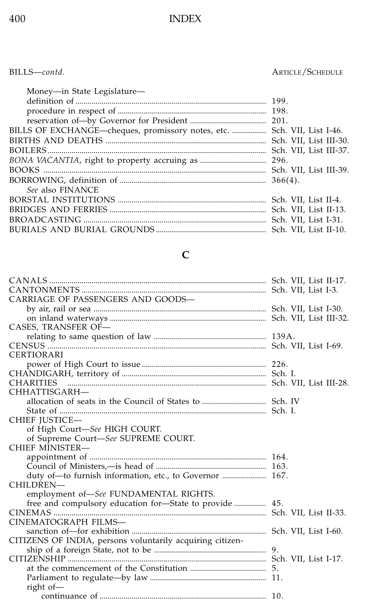### BILLS—*contd.* ARTICLE/SCHEDULE

| Money-in State Legislature-                                             |  |
|-------------------------------------------------------------------------|--|
|                                                                         |  |
|                                                                         |  |
|                                                                         |  |
| BILLS OF EXCHANGE—cheques, promissory notes, etc.  Sch. VII, List I-46. |  |
|                                                                         |  |
|                                                                         |  |
|                                                                         |  |
|                                                                         |  |
|                                                                         |  |
| See also FINANCE                                                        |  |
|                                                                         |  |
|                                                                         |  |
|                                                                         |  |
|                                                                         |  |
|                                                                         |  |

## **C**

| duty of-to furnish information, etc., to Governor  167. |
|---------------------------------------------------------|
|                                                         |
|                                                         |
|                                                         |
|                                                         |
|                                                         |
|                                                         |
|                                                         |
|                                                         |
|                                                         |
|                                                         |
|                                                         |
|                                                         |
|                                                         |
|                                                         |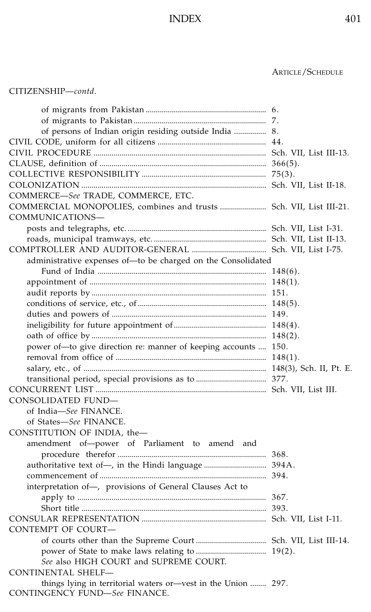| CITIZENSHIP—contd. |
|--------------------|
|--------------------|

| of persons of Indian origin residing outside India  8.                                         |  |
|------------------------------------------------------------------------------------------------|--|
|                                                                                                |  |
|                                                                                                |  |
|                                                                                                |  |
|                                                                                                |  |
|                                                                                                |  |
| COMMERCE-See TRADE, COMMERCE, ETC.                                                             |  |
| COMMERCIAL MONOPOLIES, combines and trusts  Sch. VII, List III-21.                             |  |
| COMMUNICATIONS-                                                                                |  |
|                                                                                                |  |
|                                                                                                |  |
|                                                                                                |  |
| administrative expenses of-to be charged on the Consolidated                                   |  |
|                                                                                                |  |
|                                                                                                |  |
|                                                                                                |  |
|                                                                                                |  |
|                                                                                                |  |
|                                                                                                |  |
|                                                                                                |  |
| power of-to give direction re: manner of keeping accounts  150.                                |  |
|                                                                                                |  |
|                                                                                                |  |
|                                                                                                |  |
|                                                                                                |  |
| CONSOLIDATED FUND-                                                                             |  |
| of India-See FINANCE.                                                                          |  |
| of States-See FINANCE.                                                                         |  |
| CONSTITUTION OF INDIA, the-                                                                    |  |
| amendment of-power of Parliament to amend and                                                  |  |
|                                                                                                |  |
| authoritative text of-, in the Hindi language  394A.                                           |  |
|                                                                                                |  |
| interpretation of-, provisions of General Clauses Act to                                       |  |
|                                                                                                |  |
|                                                                                                |  |
|                                                                                                |  |
| <b>CONTEMPT OF COURT-</b>                                                                      |  |
|                                                                                                |  |
|                                                                                                |  |
| See also HIGH COURT and SUPREME COURT.                                                         |  |
| <b>CONTINENTAL SHELF-</b>                                                                      |  |
| things lying in territorial waters or-vest in the Union  297.<br>CONTINGENCY FUND-See FINANCE. |  |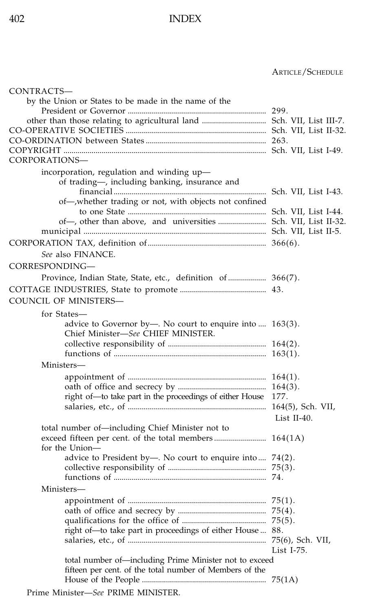#### ................................................................................................... ARTICLE/SCHEDULE

| CONTRACTS-                                                                                                        |             |
|-------------------------------------------------------------------------------------------------------------------|-------------|
| by the Union or States to be made in the name of the                                                              |             |
|                                                                                                                   |             |
|                                                                                                                   |             |
|                                                                                                                   |             |
|                                                                                                                   |             |
|                                                                                                                   |             |
| CORPORATIONS-                                                                                                     |             |
| incorporation, regulation and winding up-<br>of trading-, including banking, insurance and                        |             |
| of-whether trading or not, with objects not confined                                                              |             |
|                                                                                                                   |             |
| of-, other than above, and universities  Sch. VII, List II-32.                                                    |             |
|                                                                                                                   |             |
|                                                                                                                   |             |
| See also FINANCE.                                                                                                 |             |
| CORRESPONDING—                                                                                                    |             |
| Province, Indian State, State, etc., definition of  366(7).                                                       |             |
|                                                                                                                   |             |
| COUNCIL OF MINISTERS—                                                                                             |             |
| for States-                                                                                                       |             |
| advice to Governor by—. No court to enquire into $\dots$ 163(3).<br>Chief Minister-See CHIEF MINISTER.            |             |
|                                                                                                                   |             |
|                                                                                                                   |             |
| Ministers-                                                                                                        |             |
|                                                                                                                   |             |
|                                                                                                                   |             |
| right of-to take part in the proceedings of either House 177.                                                     |             |
|                                                                                                                   |             |
|                                                                                                                   | List II-40. |
| total number of-including Chief Minister not to                                                                   |             |
| for the Union-                                                                                                    |             |
| advice to President by—. No court to enquire into $74(2)$ .                                                       |             |
|                                                                                                                   |             |
|                                                                                                                   |             |
| Ministers-                                                                                                        |             |
|                                                                                                                   |             |
|                                                                                                                   |             |
|                                                                                                                   |             |
| right of-to take part in proceedings of either House  88.                                                         |             |
|                                                                                                                   |             |
|                                                                                                                   | List I-75.  |
| total number of—including Prime Minister not to exceed<br>fifteen per cent. of the total number of Members of the |             |
|                                                                                                                   |             |
| $D_{\text{miss}}$ Minister $C_{\text{20}}$ DDIME MINICTED                                                         |             |

Prime Minister—*See* PRIME MINISTER.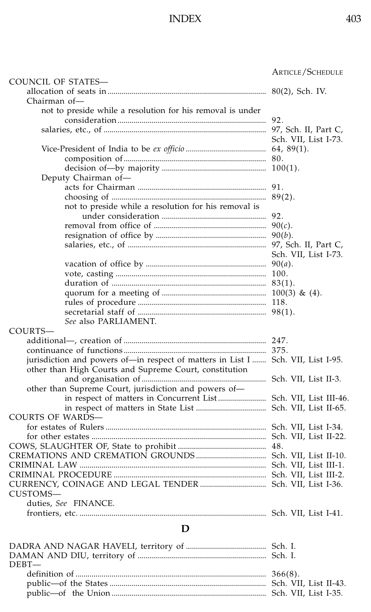|                                                                                  | ARTICLE/SCHEDULE     |
|----------------------------------------------------------------------------------|----------------------|
| COUNCIL OF STATES-                                                               |                      |
|                                                                                  |                      |
| Chairman of-                                                                     |                      |
| not to preside while a resolution for his removal is under                       |                      |
|                                                                                  |                      |
|                                                                                  |                      |
|                                                                                  | Sch. VII, List I-73. |
|                                                                                  |                      |
|                                                                                  |                      |
|                                                                                  |                      |
| Deputy Chairman of-                                                              |                      |
|                                                                                  |                      |
|                                                                                  |                      |
| not to preside while a resolution for his removal is                             |                      |
|                                                                                  |                      |
|                                                                                  |                      |
|                                                                                  |                      |
|                                                                                  |                      |
|                                                                                  | Sch. VII, List I-73. |
|                                                                                  |                      |
|                                                                                  |                      |
|                                                                                  |                      |
|                                                                                  |                      |
|                                                                                  |                      |
|                                                                                  |                      |
| See also PARLIAMENT.                                                             |                      |
| COURTS-                                                                          |                      |
|                                                                                  |                      |
|                                                                                  |                      |
| jurisdiction and powers of-in respect of matters in List I  Sch. VII, List I-95. |                      |
| other than High Courts and Supreme Court, constitution                           |                      |
|                                                                                  |                      |
| other than Supreme Court, jurisdiction and powers of-                            |                      |
| in respect of matters in Concurrent List  Sch. VII, List III-46.                 |                      |
|                                                                                  |                      |
| <b>COURTS OF WARDS-</b>                                                          |                      |
|                                                                                  |                      |
|                                                                                  |                      |
|                                                                                  |                      |
|                                                                                  |                      |
|                                                                                  |                      |
|                                                                                  |                      |
|                                                                                  |                      |
| CUSTOMS-                                                                         |                      |
| duties, See FINANCE.                                                             |                      |
|                                                                                  |                      |
| D                                                                                |                      |
|                                                                                  |                      |
|                                                                                  |                      |
| $DEBT-$                                                                          |                      |
|                                                                                  |                      |
|                                                                                  |                      |

public—of the States .............................................................................. Sch. VII, List II-43. public—of the Union ............................................................................. Sch. VII, List I-35.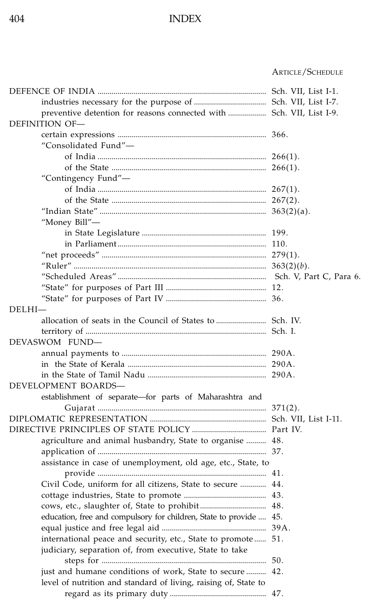#### ARTICLE/SCHEDULE

| DEFINITION OF-                                                     |  |
|--------------------------------------------------------------------|--|
|                                                                    |  |
| "Consolidated Fund"—                                               |  |
|                                                                    |  |
|                                                                    |  |
| "Contingency Fund"-                                                |  |
|                                                                    |  |
|                                                                    |  |
|                                                                    |  |
| "Money Bill"—                                                      |  |
|                                                                    |  |
|                                                                    |  |
|                                                                    |  |
|                                                                    |  |
|                                                                    |  |
|                                                                    |  |
|                                                                    |  |
| DELHI-                                                             |  |
|                                                                    |  |
|                                                                    |  |
| DEVASWOM FUND-                                                     |  |
|                                                                    |  |
|                                                                    |  |
|                                                                    |  |
| DEVELOPMENT BOARDS-                                                |  |
| establishment of separate-for parts of Maharashtra and             |  |
|                                                                    |  |
|                                                                    |  |
|                                                                    |  |
| agriculture and animal husbandry, State to organise  48.           |  |
|                                                                    |  |
| assistance in case of unemployment, old age, etc., State, to       |  |
|                                                                    |  |
| Civil Code, uniform for all citizens, State to secure  44.         |  |
|                                                                    |  |
|                                                                    |  |
| education, free and compulsory for children, State to provide  45. |  |
|                                                                    |  |
| international peace and security, etc., State to promote 51.       |  |
| judiciary, separation of, from executive, State to take            |  |
|                                                                    |  |
| just and humane conditions of work, State to secure  42.           |  |
| level of nutrition and standard of living, raising of, State to    |  |
|                                                                    |  |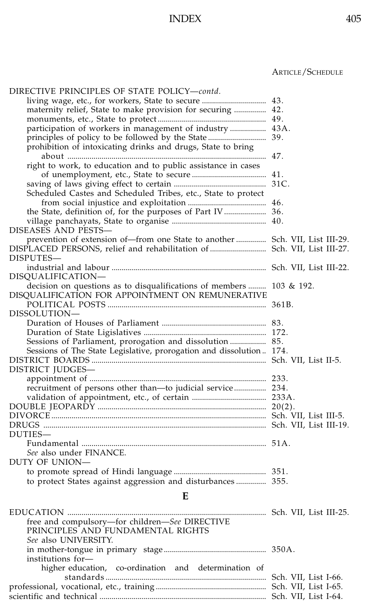| DIRECTIVE PRINCIPLES OF STATE POLICY-contd.                                                                                     |  |
|---------------------------------------------------------------------------------------------------------------------------------|--|
|                                                                                                                                 |  |
| maternity relief, State to make provision for securing  42.                                                                     |  |
|                                                                                                                                 |  |
|                                                                                                                                 |  |
|                                                                                                                                 |  |
| prohibition of intoxicating drinks and drugs, State to bring                                                                    |  |
|                                                                                                                                 |  |
| right to work, to education and to public assistance in cases                                                                   |  |
|                                                                                                                                 |  |
|                                                                                                                                 |  |
| Scheduled Castes and Scheduled Tribes, etc., State to protect                                                                   |  |
|                                                                                                                                 |  |
| the State, definition of, for the purposes of Part IV  36.                                                                      |  |
|                                                                                                                                 |  |
| DISEASES AND PESTS-                                                                                                             |  |
| prevention of extension of-from one State to another  Sch. VII, List III-29.                                                    |  |
|                                                                                                                                 |  |
| DISPUTES-                                                                                                                       |  |
|                                                                                                                                 |  |
| DISOUALIFICATION—                                                                                                               |  |
| decision on questions as to disqualifications of members  103 & 192.                                                            |  |
| DISOUALIFICATION FOR APPOINTMENT ON REMUNERATIVE                                                                                |  |
|                                                                                                                                 |  |
| DISSOLUTION-                                                                                                                    |  |
|                                                                                                                                 |  |
|                                                                                                                                 |  |
|                                                                                                                                 |  |
| Sessions of Parliament, prorogation and dissolution  85.<br>Sessions of The State Legislative, prorogation and dissolution 174. |  |
|                                                                                                                                 |  |
|                                                                                                                                 |  |
| DISTRICT JUDGES-                                                                                                                |  |
|                                                                                                                                 |  |
| recruitment of persons other than-to judicial service 234.                                                                      |  |
|                                                                                                                                 |  |
|                                                                                                                                 |  |
|                                                                                                                                 |  |
|                                                                                                                                 |  |
| DUTIES-                                                                                                                         |  |
|                                                                                                                                 |  |
| See also under FINANCE.                                                                                                         |  |
| DUTY OF UNION-                                                                                                                  |  |
|                                                                                                                                 |  |
| to protect States against aggression and disturbances 355.                                                                      |  |
| E                                                                                                                               |  |
|                                                                                                                                 |  |
|                                                                                                                                 |  |
| free and compulsory-for children-See DIRECTIVE                                                                                  |  |
| PRINCIPLES AND FUNDAMENTAL RIGHTS                                                                                               |  |
| See also UNIVERSITY.                                                                                                            |  |
|                                                                                                                                 |  |
| institutions for-                                                                                                               |  |
| higher education, co-ordination and determination of                                                                            |  |
|                                                                                                                                 |  |
|                                                                                                                                 |  |
|                                                                                                                                 |  |
|                                                                                                                                 |  |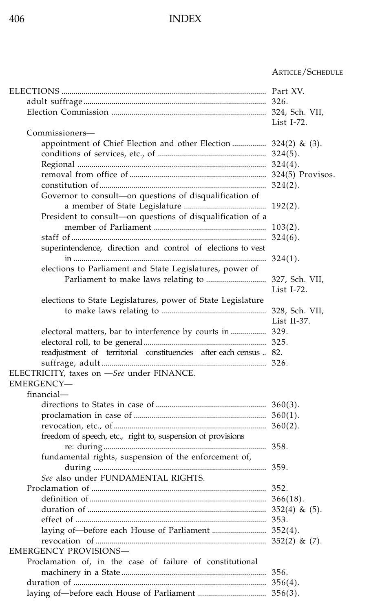|                                                                                   | List $I-72$ . |
|-----------------------------------------------------------------------------------|---------------|
| Commissioners-<br>appointment of Chief Election and other Election  324(2) & (3). |               |
|                                                                                   |               |
|                                                                                   |               |
|                                                                                   |               |
|                                                                                   |               |
| Governor to consult-on questions of disqualification of                           |               |
|                                                                                   |               |
| President to consult-on questions of disqualification of a                        |               |
|                                                                                   |               |
|                                                                                   |               |
| superintendence, direction and control of elections to vest                       |               |
|                                                                                   |               |
| elections to Parliament and State Legislatures, power of                          |               |
|                                                                                   |               |
|                                                                                   | List I-72.    |
| elections to State Legislatures, power of State Legislature                       |               |
|                                                                                   |               |
|                                                                                   | List II-37.   |
| electoral matters, bar to interference by courts in  329.                         |               |
| readjustment of territorial constituencies after each census  82.                 |               |
|                                                                                   |               |
| ELECTRICITY, taxes on -See under FINANCE.                                         |               |
| EMERGENCY-                                                                        |               |
| financial—                                                                        |               |
|                                                                                   |               |
|                                                                                   |               |
|                                                                                   |               |
| freedom of speech, etc., right to, suspension of provisions                       |               |
|                                                                                   |               |
| fundamental rights, suspension of the enforcement of,                             |               |
|                                                                                   |               |
| See also under FUNDAMENTAL RIGHTS.                                                |               |
|                                                                                   |               |
|                                                                                   |               |
|                                                                                   |               |
|                                                                                   |               |
|                                                                                   |               |
|                                                                                   |               |
| <b>EMERGENCY PROVISIONS-</b>                                                      |               |
| Proclamation of, in the case of failure of constitutional                         |               |
|                                                                                   |               |
|                                                                                   |               |
|                                                                                   |               |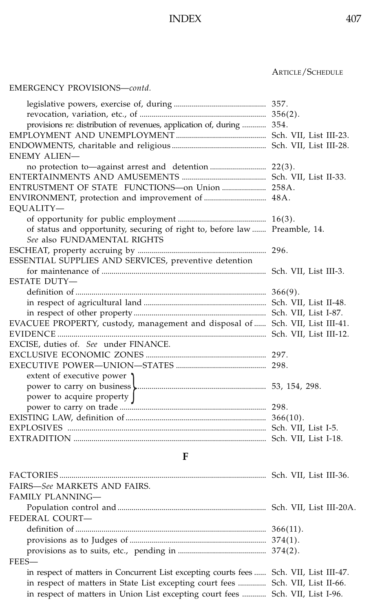### ................................................................................................... ARTICLE/SCHEDULE

### EMERGENCY PROVISIONS—*contd.*

| provisions re: distribution of revenues, application of, during  354.         |  |
|-------------------------------------------------------------------------------|--|
|                                                                               |  |
|                                                                               |  |
| <b>ENEMY ALIEN-</b>                                                           |  |
|                                                                               |  |
|                                                                               |  |
|                                                                               |  |
|                                                                               |  |
| EQUALITY-                                                                     |  |
|                                                                               |  |
| of status and opportunity, securing of right to, before law  Preamble, 14.    |  |
| See also FUNDAMENTAL RIGHTS                                                   |  |
|                                                                               |  |
| ESSENTIAL SUPPLIES AND SERVICES, preventive detention                         |  |
|                                                                               |  |
| <b>ESTATE DUTY-</b>                                                           |  |
|                                                                               |  |
|                                                                               |  |
|                                                                               |  |
| EVACUEE PROPERTY, custody, management and disposal of  Sch. VII, List III-41. |  |
|                                                                               |  |
| EXCISE, duties of. See under FINANCE.                                         |  |
|                                                                               |  |
|                                                                               |  |
| extent of executive power 1                                                   |  |
|                                                                               |  |
| power to acquire property J                                                   |  |
|                                                                               |  |
|                                                                               |  |
|                                                                               |  |
|                                                                               |  |

**F**

| FAIRS-See MARKETS AND FAIRS.                                                          |  |
|---------------------------------------------------------------------------------------|--|
| <b>FAMILY PLANNING—</b>                                                               |  |
|                                                                                       |  |
| FEDERAL COURT-                                                                        |  |
|                                                                                       |  |
|                                                                                       |  |
|                                                                                       |  |
| FEES-                                                                                 |  |
| in respect of matters in Concurrent List excepting courts fees Sch. VII, List III-47. |  |
| in respect of matters in State List excepting court fees  Sch. VII, List II-66.       |  |
| in respect of matters in Union List excepting court fees  Sch. VII, List I-96.        |  |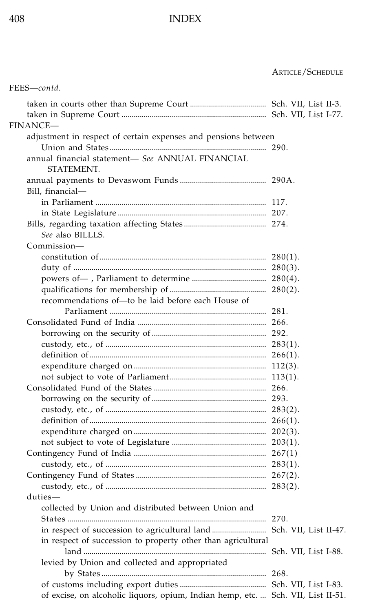| FEES-contd.                                                                      |  |
|----------------------------------------------------------------------------------|--|
|                                                                                  |  |
|                                                                                  |  |
| FINANCE—                                                                         |  |
| adjustment in respect of certain expenses and pensions between                   |  |
|                                                                                  |  |
| annual financial statement- See ANNUAL FINANCIAL<br>STATEMENT.                   |  |
|                                                                                  |  |
| Bill, financial—                                                                 |  |
|                                                                                  |  |
|                                                                                  |  |
| See also BILLLS.                                                                 |  |
| Commission-                                                                      |  |
|                                                                                  |  |
|                                                                                  |  |
|                                                                                  |  |
|                                                                                  |  |
| recommendations of-to be laid before each House of                               |  |
|                                                                                  |  |
|                                                                                  |  |
|                                                                                  |  |
|                                                                                  |  |
|                                                                                  |  |
|                                                                                  |  |
|                                                                                  |  |
|                                                                                  |  |
|                                                                                  |  |
|                                                                                  |  |
|                                                                                  |  |
|                                                                                  |  |
|                                                                                  |  |
|                                                                                  |  |
|                                                                                  |  |
|                                                                                  |  |
|                                                                                  |  |
| duties-                                                                          |  |
| collected by Union and distributed between Union and                             |  |
|                                                                                  |  |
|                                                                                  |  |
| in respect of succession to property other than agricultural                     |  |
|                                                                                  |  |
| levied by Union and collected and appropriated                                   |  |
|                                                                                  |  |
|                                                                                  |  |
| of excise, on alcoholic liquors, opium, Indian hemp, etc.  Sch. VII, List II-51. |  |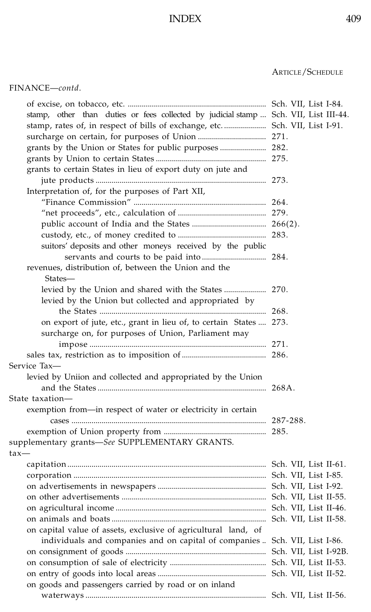| stamp, other than duties or fees collected by judicial stamp  Sch. VII, List III-44. |  |
|--------------------------------------------------------------------------------------|--|
| stamp, rates of, in respect of bills of exchange, etc.  Sch. VII, List I-91.         |  |
|                                                                                      |  |
|                                                                                      |  |
|                                                                                      |  |
| grants to certain States in lieu of export duty on jute and                          |  |
|                                                                                      |  |
| Interpretation of, for the purposes of Part XII,                                     |  |
|                                                                                      |  |
|                                                                                      |  |
|                                                                                      |  |
|                                                                                      |  |
| suitors' deposits and other moneys received by the public                            |  |
|                                                                                      |  |
| revenues, distribution of, between the Union and the                                 |  |
| States—                                                                              |  |
|                                                                                      |  |
| levied by the Union but collected and appropriated by                                |  |
|                                                                                      |  |
| on export of jute, etc., grant in lieu of, to certain States  273.                   |  |
|                                                                                      |  |
| surcharge on, for purposes of Union, Parliament may                                  |  |
|                                                                                      |  |
|                                                                                      |  |
| Service Tax-                                                                         |  |
| levied by Uniion and collected and appropriated by the Union                         |  |
|                                                                                      |  |
| State taxation-                                                                      |  |
| exemption from-in respect of water or electricity in certain                         |  |
|                                                                                      |  |
|                                                                                      |  |
| supplementary grants-See SUPPLEMENTARY GRANTS.                                       |  |
| tax-                                                                                 |  |
|                                                                                      |  |
|                                                                                      |  |
|                                                                                      |  |
|                                                                                      |  |
|                                                                                      |  |
|                                                                                      |  |
| on capital value of assets, exclusive of agricultural land, of                       |  |
| individuals and companies and on capital of companies  Sch. VII, List I-86.          |  |
|                                                                                      |  |
|                                                                                      |  |
|                                                                                      |  |
| on goods and passengers carried by road or on inland                                 |  |
|                                                                                      |  |
|                                                                                      |  |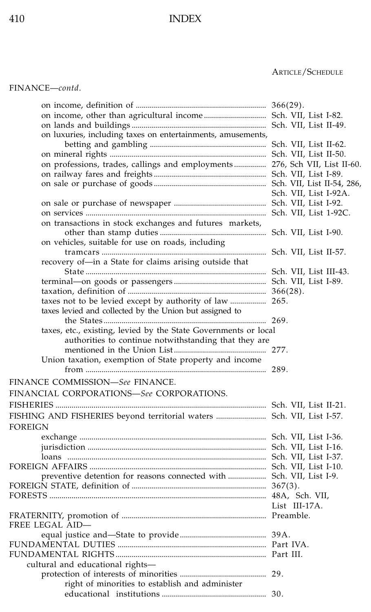### ................................................................................................... ARTICLE/SCHEDULE

FINANCE—*contd*.

| on luxuries, including taxes on entertainments, amusements,                |                       |
|----------------------------------------------------------------------------|-----------------------|
|                                                                            |                       |
|                                                                            |                       |
| on professions, trades, callings and employments 276, Sch VII, List II-60. |                       |
|                                                                            |                       |
|                                                                            |                       |
|                                                                            | Sch. VII, List I-92A. |
|                                                                            |                       |
|                                                                            |                       |
| on transactions in stock exchanges and futures markets,                    |                       |
|                                                                            |                       |
| on vehicles, suitable for use on roads, including                          |                       |
|                                                                            |                       |
| recovery of-in a State for claims arising outside that                     |                       |
|                                                                            |                       |
|                                                                            |                       |
|                                                                            |                       |
|                                                                            |                       |
| taxes not to be levied except by authority of law  265.                    |                       |
| taxes levied and collected by the Union but assigned to                    |                       |
|                                                                            |                       |
| taxes, etc., existing, levied by the State Governments or local            |                       |
| authorities to continue notwithstanding that they are                      |                       |
|                                                                            |                       |
| Union taxation, exemption of State property and income                     |                       |
| FINANCE COMMISSION-See FINANCE.                                            |                       |
| FINANCIAL CORPORATIONS-See CORPORATIONS.                                   |                       |
|                                                                            |                       |
|                                                                            |                       |
| FISHING AND FISHERIES beyond territorial waters  Sch. VII, List I-57.      |                       |
| <b>FOREIGN</b>                                                             |                       |
|                                                                            |                       |
|                                                                            |                       |
|                                                                            |                       |
|                                                                            |                       |
| preventive detention for reasons connected with  Sch. VII, List I-9.       |                       |
|                                                                            |                       |
|                                                                            |                       |
|                                                                            | List III-17A.         |
|                                                                            |                       |
| FREE LEGAL AID-                                                            |                       |
|                                                                            |                       |
|                                                                            |                       |
|                                                                            |                       |
| cultural and educational rights-                                           |                       |
|                                                                            |                       |
| right of minorities to establish and administer                            |                       |
|                                                                            |                       |
|                                                                            |                       |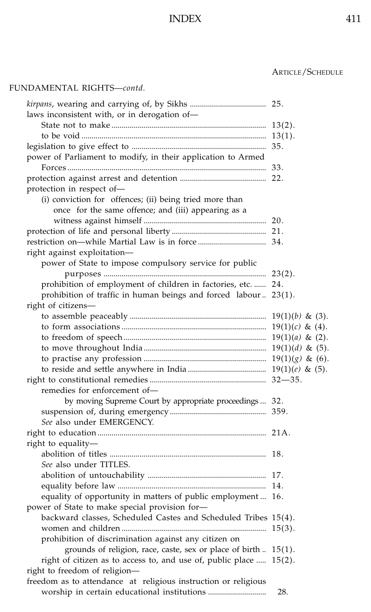### ................................................................................................... ARTICLE/SCHEDULE

### FUNDAMENTAL RIGHTS—*contd.*

| laws inconsistent with, or in derogation of-                       |             |
|--------------------------------------------------------------------|-------------|
|                                                                    |             |
|                                                                    |             |
|                                                                    |             |
| power of Parliament to modify, in their application to Armed       |             |
|                                                                    |             |
|                                                                    |             |
| protection in respect of-                                          |             |
| (i) conviction for offences; (ii) being tried more than            |             |
| once for the same offence; and (iii) appearing as a                |             |
|                                                                    |             |
|                                                                    |             |
|                                                                    |             |
| right against exploitation-                                        |             |
| power of State to impose compulsory service for public             |             |
|                                                                    |             |
| prohibition of employment of children in factories, etc.  24.      |             |
| prohibition of traffic in human beings and forced labour 23(1).    |             |
| right of citizens-                                                 |             |
|                                                                    |             |
|                                                                    |             |
|                                                                    |             |
|                                                                    |             |
|                                                                    |             |
|                                                                    |             |
|                                                                    | $32 - 35$ . |
| remedies for enforcement of-                                       |             |
| by moving Supreme Court by appropriate proceedings 32.             |             |
|                                                                    |             |
| See also under EMERGENCY.                                          |             |
|                                                                    |             |
| right to equality-                                                 |             |
|                                                                    |             |
| See also under TITLES.                                             |             |
|                                                                    |             |
|                                                                    |             |
| equality of opportunity in matters of public employment  16.       |             |
| power of State to make special provision for-                      |             |
| backward classes, Scheduled Castes and Scheduled Tribes 15(4).     |             |
|                                                                    |             |
| prohibition of discrimination against any citizen on               |             |
| grounds of religion, race, caste, sex or place of birth  15(1).    |             |
| right of citizen as to access to, and use of, public place  15(2). |             |
| right to freedom of religion-                                      |             |
| freedom as to attendance at religious instruction or religious     |             |
|                                                                    | 28.         |
|                                                                    |             |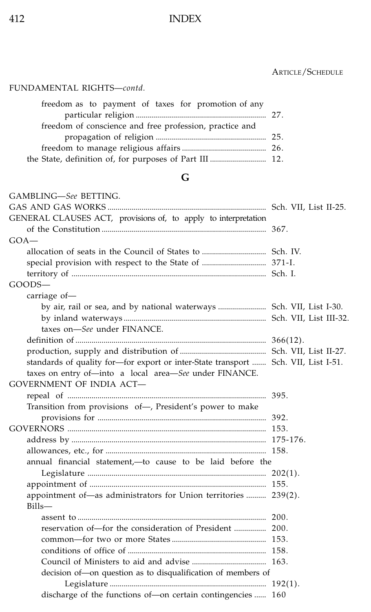### ................................................................................................... ARTICLE/SCHEDULE

### FUNDAMENTAL RIGHTS—*contd.*

| freedom as to payment of taxes for promotion of any     |  |
|---------------------------------------------------------|--|
|                                                         |  |
| freedom of conscience and free profession, practice and |  |
|                                                         |  |
|                                                         |  |
|                                                         |  |

# **G**

| GAMBLING-See BETTING.                                                              |  |
|------------------------------------------------------------------------------------|--|
|                                                                                    |  |
| GENERAL CLAUSES ACT, provisions of, to apply to interpretation                     |  |
|                                                                                    |  |
| $GOA-$                                                                             |  |
|                                                                                    |  |
|                                                                                    |  |
| special provision with respect to the State of  371-I.                             |  |
| $GOODS -$                                                                          |  |
|                                                                                    |  |
| carriage of-                                                                       |  |
| by air, rail or sea, and by national waterways  Sch. VII, List I-30.               |  |
|                                                                                    |  |
| taxes on-See under FINANCE.                                                        |  |
|                                                                                    |  |
|                                                                                    |  |
| standards of quality for-for export or inter-State transport  Sch. VII, List I-51. |  |
| taxes on entry of-into a local area-See under FINANCE.                             |  |
| <b>GOVERNMENT OF INDIA ACT-</b>                                                    |  |
|                                                                                    |  |
| Transition from provisions of-, President's power to make                          |  |
|                                                                                    |  |
|                                                                                    |  |
|                                                                                    |  |
|                                                                                    |  |
| annual financial statement,—to cause to be laid before the                         |  |
|                                                                                    |  |
|                                                                                    |  |
| appointment of-as administrators for Union territories  239(2).                    |  |
| Bills-                                                                             |  |
|                                                                                    |  |
|                                                                                    |  |
|                                                                                    |  |
|                                                                                    |  |
|                                                                                    |  |
| decision of-on question as to disqualification of members of                       |  |
|                                                                                    |  |
| discharge of the functions of-on certain contingencies  160                        |  |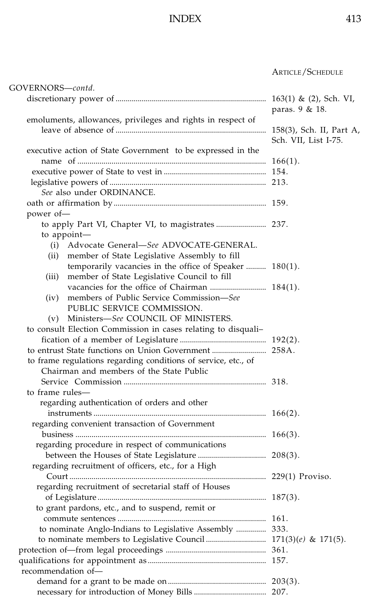| GOVERNORS—contd.                                               |                          |
|----------------------------------------------------------------|--------------------------|
|                                                                |                          |
|                                                                | paras. 9 & 18.           |
| emoluments, allowances, privileges and rights in respect of    |                          |
|                                                                | 158(3), Sch. II, Part A, |
|                                                                | Sch. VII, List I-75.     |
| executive action of State Government to be expressed in the    |                          |
|                                                                | $166(1)$ .               |
|                                                                |                          |
|                                                                |                          |
| See also under ORDINANCE.                                      |                          |
|                                                                |                          |
| power of-                                                      |                          |
|                                                                |                          |
| to appoint-                                                    |                          |
| Advocate General-See ADVOCATE-GENERAL.<br>(i)                  |                          |
| member of State Legislative Assembly to fill<br>(ii)           |                          |
| temporarily vacancies in the office of Speaker  180(1).        |                          |
| member of State Legislative Council to fill<br>(iii)           |                          |
|                                                                |                          |
| members of Public Service Commission-See                       |                          |
| (iv)<br>PUBLIC SERVICE COMMISSION.                             |                          |
|                                                                |                          |
| (v) Ministers-See COUNCIL OF MINISTERS.                        |                          |
| to consult Election Commission in cases relating to disquali-  |                          |
|                                                                |                          |
|                                                                |                          |
| to frame regulations regarding conditions of service, etc., of |                          |
| Chairman and members of the State Public                       |                          |
|                                                                |                          |
| to frame rules-                                                |                          |
| regarding authentication of orders and other                   |                          |
|                                                                |                          |
| regarding convenient transaction of Government                 |                          |
|                                                                |                          |
| regarding procedure in respect of communications               |                          |
|                                                                |                          |
| regarding recruitment of officers, etc., for a High            |                          |
|                                                                |                          |
| regarding recruitment of secretarial staff of Houses           |                          |
|                                                                |                          |
| to grant pardons, etc., and to suspend, remit or               |                          |
|                                                                |                          |
| to nominate Anglo-Indians to Legislative Assembly  333.        |                          |
|                                                                |                          |
|                                                                |                          |
|                                                                |                          |
| recommendation of-                                             |                          |
|                                                                |                          |
|                                                                |                          |
|                                                                |                          |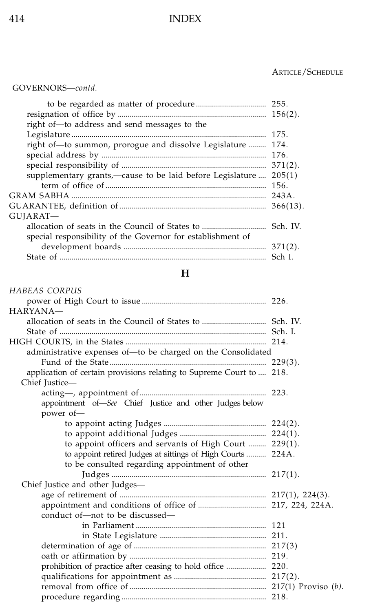#### ................................................................................................... ARTICLE/SCHEDULE

#### GOVERNORS—*contd.*

| right of-to address and send messages to the                |        |
|-------------------------------------------------------------|--------|
|                                                             |        |
| right of-to summon, prorogue and dissolve Legislature  174. |        |
|                                                             |        |
|                                                             |        |
| supplementary grants,—cause to be laid before Legislature   | 205(1) |
|                                                             |        |
|                                                             |        |
|                                                             |        |
| GUJARAT—                                                    |        |
|                                                             |        |
| special responsibility of the Governor for establishment of |        |
|                                                             |        |
|                                                             |        |

#### **H**

#### *HABEAS CORPUS* power of High Court to issue .............................................................. 226. HARYANA allocation of seats in the Council of States to ................................ Sch. IV. State of ....................................................................................................... Sch. I. HIGH COURTS, in the States ...................................................................... 214. administrative expenses of—to be charged on the Consolidated Fund of the State .............................................................................. 229(3). application of certain provisions relating to Supreme Court to .... 218. Chief Justice acting—, appointment of............................................................... 223. appointment of—*See* Chief Justice and other Judges below power of to appoint acting Judges ................................................... 224(2). to appoint additional Judges ........................................... 224(1). to appoint officers and servants of High Court ......... 229(1). to appoint retired Judges at sittings of High Courts .......... 224A. to be consulted regarding appointment of other Judges ............................................................................. 217(1). Chief Justice and other Judges age of retirement of ......................................................................... 217(1), 224(3). appointment and conditions of office of .................................. 217, 224, 224A. conduct of—not to be discussed in Parliament ................................................................. 121 in State Legislature ..................................................... 211. determination of age of .................................................................. 217(3) oath or affirmation by .................................................................... 219. prohibition of practice after ceasing to hold office .................... 220. qualifications for appointment as .............................................. 217(2). removal from office of .................................................................... 217(1) Proviso (*b).* procedure regarding ........................................................................ 218.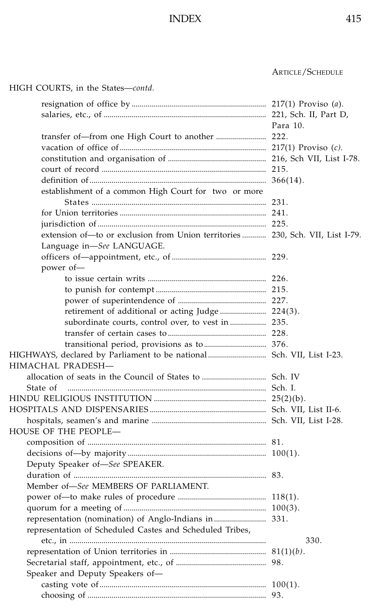HIGH COURTS, in the States—*contd.*

#### ................................................................................................... ARTICLE/SCHEDULE

resignation of office by ................................................................... 217(1) Proviso (*a*). salaries, etc., of ................................................................................. 221, Sch. II, Part D, ................................................................................................... Para 10. transfer of—from one High Court to another ......................... 222. vacation of office of......................................................................... 217(1) Proviso (*c).* constitution and organisation of ................................................. 216, Sch VII, List I-78. court of record .................................................................................. 215. definition of........................................................................................ 366(14). establishment of a common High Court for two or more States ....................................................................................... 231. for Union territories ......................................................................... 241. jurisdiction of.................................................................................... 225. extension of—to or exclusion from Union territories ............ 230, Sch. VII, List I-79. Language in—*See* LANGUAGE. officers of—appointment, etc., of ............................................... 229. power of to issue certain writs ........................................................... 226. to punish for contempt ....................................................... 215. power of superintendence of ............................................ 227. retirement of additional or acting Judge ....................... 224(3). subordinate courts, control over, to vest in .................. 235. transfer of certain cases to ................................................. 228. transitional period, provisions as to............................... 376. HIGHWAYS, declared by Parliament to be national............................. Sch. VII, List I-23. HIMACHAL PRADESH allocation of seats in the Council of States to ................................ Sch. IV State of ................................................................................................... Sch. I. HINDU RELIGIOUS INSTITUTION ........................................................ 25(2)(b). HOSPITALS AND DISPENSARIES .......................................................... Sch. VII, List II-6. hospitals, seamen's and marine ......................................................... Sch. VII, List I-28. HOUSE OF THE PEOPLE composition of ......................................................................................... 81. decisions of—by majority ..................................................................... 100(1). Deputy Speaker of—*See* SPEAKER. duration of ................................................................................................ 83. Member of—*See* MEMBERS OF PARLIAMENT. power of—to make rules of procedure ............................................ 118(1). quorum for a meeting of ....................................................................... 100(3). representation (nomination) of Anglo-Indians in.......................... 331. representation of Scheduled Castes and Scheduled Tribes, etc., in .................................................................................................. 330. representation of Union territories in ................................................ 81(1)(*b)*. Secretarial staff, appointment, etc., of ............................................. 98. Speaker and Deputy Speakers of casting vote of................................................................................... 100(1). choosing of ......................................................................................... 93.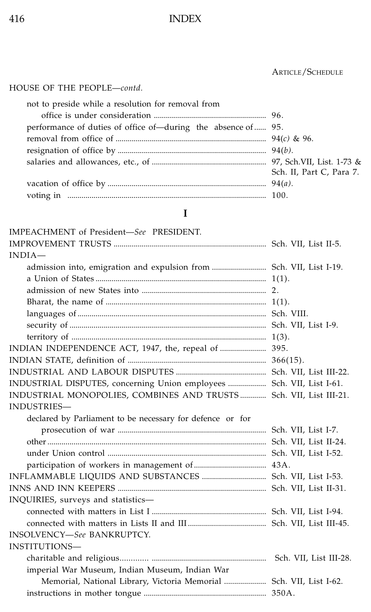### ................................................................................................... ARTICLE/SCHEDULE

HOUSE OF THE PEOPLE—*contd.*

| not to preside while a resolution for removal from            |                          |
|---------------------------------------------------------------|--------------------------|
|                                                               |                          |
| performance of duties of office of—during the absence of  95. |                          |
|                                                               |                          |
|                                                               |                          |
|                                                               |                          |
|                                                               | Sch. II, Part C, Para 7. |
|                                                               |                          |
|                                                               |                          |

### **I**

| IMPEACHMENT of President-See PRESIDENT.                               |                        |
|-----------------------------------------------------------------------|------------------------|
|                                                                       |                        |
| $INDIA-$                                                              |                        |
| admission into, emigration and expulsion from  Sch. VII, List I-19.   |                        |
|                                                                       |                        |
|                                                                       |                        |
|                                                                       |                        |
|                                                                       |                        |
|                                                                       |                        |
|                                                                       |                        |
| INDIAN INDEPENDENCE ACT, 1947, the, repeal of  395.                   |                        |
|                                                                       |                        |
|                                                                       |                        |
| INDUSTRIAL DISPUTES, concerning Union employees  Sch. VII, List I-61. |                        |
| INDUSTRIAL MONOPOLIES, COMBINES AND TRUSTS  Sch. VII, List III-21.    |                        |
| INDUSTRIES-                                                           |                        |
| declared by Parliament to be necessary for defence or for             |                        |
|                                                                       |                        |
|                                                                       |                        |
|                                                                       |                        |
|                                                                       |                        |
|                                                                       |                        |
|                                                                       |                        |
| INQUIRIES, surveys and statistics-                                    |                        |
|                                                                       |                        |
|                                                                       |                        |
| <b>INSOLVENCY-See BANKRUPTCY.</b>                                     |                        |
| INSTITUTIONS-                                                         |                        |
|                                                                       | Sch. VII, List III-28. |
| imperial War Museum, Indian Museum, Indian War                        |                        |
| Memorial, National Library, Victoria Memorial  Sch. VII, List I-62.   |                        |
|                                                                       |                        |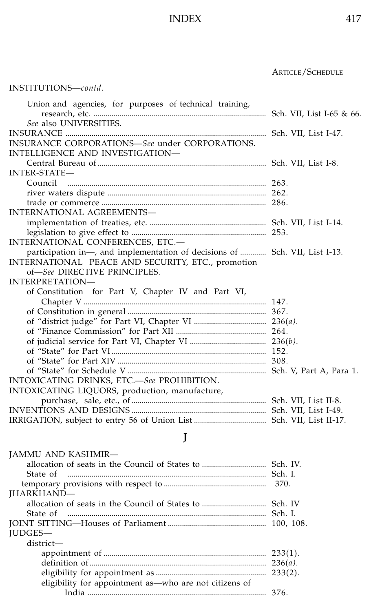### ................................................................................................... ARTICLE/SCHEDULE

### INSTITUTIONS—*contd*.

| Union and agencies, for purposes of technical training,                     |  |
|-----------------------------------------------------------------------------|--|
|                                                                             |  |
| See also UNIVERSITIES.                                                      |  |
| INSURANCE CORPORATIONS-See under CORPORATIONS.                              |  |
|                                                                             |  |
| INTELLIGENCE AND INVESTIGATION-                                             |  |
| <b>INTER-STATE-</b>                                                         |  |
|                                                                             |  |
|                                                                             |  |
|                                                                             |  |
| INTERNATIONAL AGREEMENTS-                                                   |  |
|                                                                             |  |
|                                                                             |  |
| INTERNATIONAL CONFERENCES, ETC.-                                            |  |
| participation in—, and implementation of decisions of  Sch. VII, List I-13. |  |
| INTERNATIONAL PEACE AND SECURITY, ETC., promotion                           |  |
| of-See DIRECTIVE PRINCIPLES.                                                |  |
| INTERPRETATION-                                                             |  |
| of Constitution for Part V, Chapter IV and Part VI,                         |  |
|                                                                             |  |
|                                                                             |  |
|                                                                             |  |
|                                                                             |  |
|                                                                             |  |
|                                                                             |  |
|                                                                             |  |
|                                                                             |  |
| INTOXICATING DRINKS, ETC .- See PROHIBITION.                                |  |
| INTOXICATING LIQUORS, production, manufacture,                              |  |
|                                                                             |  |
|                                                                             |  |
|                                                                             |  |

# **J**

| <b>JAMMU AND KASHMIR—</b><br>State of                  | 370.       |
|--------------------------------------------------------|------------|
| <b>IHARKHAND-</b>                                      |            |
|                                                        |            |
| State of                                               |            |
|                                                        |            |
| <b>IUDGES-</b>                                         |            |
| district-                                              |            |
|                                                        | $233(1)$ . |
|                                                        | $236(a)$ . |
|                                                        | $233(2)$ . |
| eligibility for appointment as-who are not citizens of |            |
|                                                        | 376.       |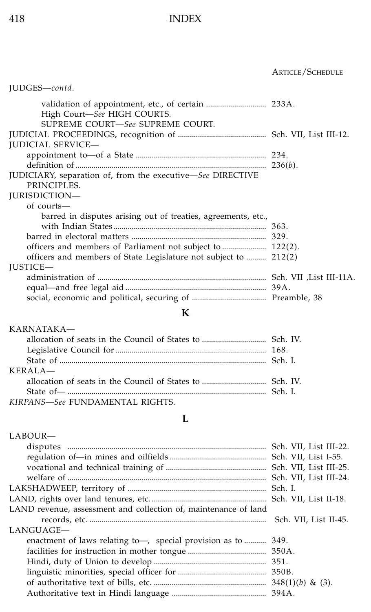|                                                                             | <b>ARTICLE/SCHEDULE</b> |
|-----------------------------------------------------------------------------|-------------------------|
| JUDGES-contd.                                                               |                         |
| High Court-See HIGH COURTS.<br>SUPREME COURT-See SUPREME COURT.             |                         |
| <b>JUDICIAL SERVICE-</b>                                                    |                         |
|                                                                             |                         |
| JUDICIARY, separation of, from the executive-See DIRECTIVE<br>PRINCIPLES.   |                         |
| <b>JURISDICTION-</b>                                                        |                         |
| of courts-<br>barred in disputes arising out of treaties, agreements, etc., |                         |
|                                                                             |                         |
|                                                                             |                         |
|                                                                             |                         |
| officers and members of State Legislature not subject to  212(2)            |                         |
| <b>IUSTICE-</b>                                                             |                         |
|                                                                             |                         |

## **K**

| KARNATAKA—                      |  |
|---------------------------------|--|
|                                 |  |
|                                 |  |
|                                 |  |
| KERAIA                          |  |
|                                 |  |
|                                 |  |
| KIRPANS-See FUNDAMENTAL RIGHTS. |  |

### **L**

| LABOUR-                                                         |                        |
|-----------------------------------------------------------------|------------------------|
|                                                                 | Sch. VII, List III-22. |
|                                                                 |                        |
|                                                                 |                        |
|                                                                 | Sch. VII, List III-24. |
|                                                                 |                        |
|                                                                 |                        |
| LAND revenue, assessment and collection of, maintenance of land |                        |
|                                                                 | Sch. VII, List II-45.  |
| LANGUAGE-                                                       |                        |
| enactment of laws relating to-, special provision as to         | 349.                   |
|                                                                 | 350A.                  |
|                                                                 |                        |
|                                                                 |                        |
|                                                                 |                        |
|                                                                 |                        |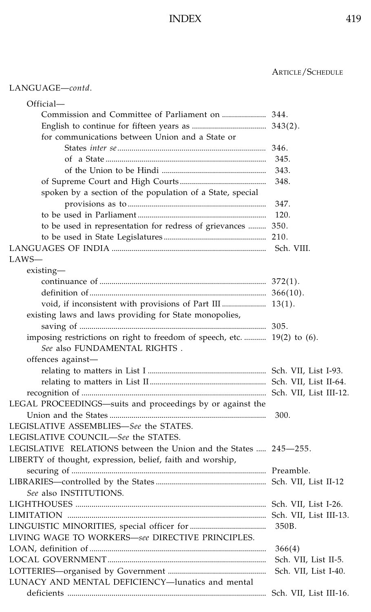### LANGUAGE—*contd*.

| Official-                                                                |                      |
|--------------------------------------------------------------------------|----------------------|
|                                                                          |                      |
|                                                                          |                      |
| for communications between Union and a State or                          |                      |
|                                                                          |                      |
|                                                                          | 345.                 |
|                                                                          | 343.                 |
|                                                                          | 348.                 |
| spoken by a section of the population of a State, special                |                      |
|                                                                          | 347.                 |
|                                                                          | 120.                 |
| to be used in representation for redress of grievances  350.             |                      |
|                                                                          |                      |
|                                                                          |                      |
| LAWS—                                                                    |                      |
| existing—                                                                |                      |
|                                                                          |                      |
|                                                                          |                      |
| void, if inconsistent with provisions of Part III  13(1).                |                      |
| existing laws and laws providing for State monopolies,                   |                      |
|                                                                          |                      |
| imposing restrictions on right to freedom of speech, etc.  19(2) to (6). |                      |
| See also FUNDAMENTAL RIGHTS.                                             |                      |
|                                                                          |                      |
| offences against-                                                        |                      |
|                                                                          |                      |
|                                                                          |                      |
|                                                                          |                      |
| LEGAL PROCEEDINGS-suits and proceedings by or against the                |                      |
|                                                                          | 300.                 |
| LEGISLATIVE ASSEMBLIES-See the STATES.                                   |                      |
| LEGISLATIVE COUNCIL-See the STATES.                                      |                      |
| LEGISLATIVE RELATIONS between the Union and the States  245-255.         |                      |
| LIBERTY of thought, expression, belief, faith and worship,               |                      |
|                                                                          |                      |
|                                                                          |                      |
| See also INSTITUTIONS.                                                   |                      |
|                                                                          |                      |
|                                                                          |                      |
|                                                                          | 350B.                |
| LIVING WAGE TO WORKERS-see DIRECTIVE PRINCIPLES.                         |                      |
|                                                                          | 366(4)               |
|                                                                          | Sch. VII, List II-5. |
|                                                                          | Sch. VII, List I-40. |
| LUNACY AND MENTAL DEFICIENCY-lunatics and mental                         |                      |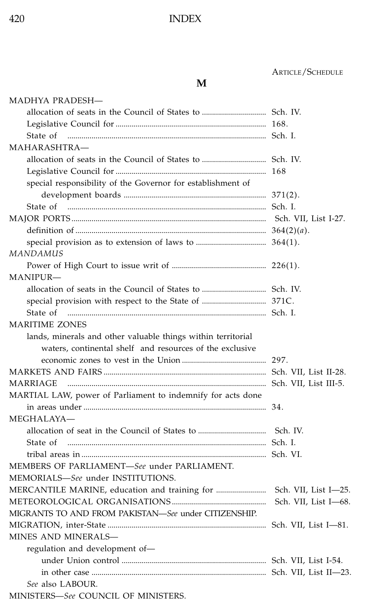### ................................................................................................... ARTICLE/SCHEDULE

#### **M**

| MADHYA PRADESH-                                              |                      |
|--------------------------------------------------------------|----------------------|
|                                                              |                      |
|                                                              |                      |
| State of                                                     |                      |
| MAHARASHTRA-                                                 |                      |
|                                                              |                      |
|                                                              |                      |
| special responsibility of the Governor for establishment of  |                      |
|                                                              |                      |
| State of                                                     |                      |
|                                                              |                      |
|                                                              |                      |
|                                                              |                      |
| MANDAMUS                                                     |                      |
|                                                              |                      |
| MANIPUR—                                                     |                      |
|                                                              |                      |
|                                                              |                      |
| State of                                                     |                      |
| <b>MARITIME ZONES</b>                                        |                      |
| lands, minerals and other valuable things within territorial |                      |
| waters, continental shelf and resources of the exclusive     |                      |
|                                                              |                      |
|                                                              |                      |
| MARRIAGE                                                     |                      |
| MARTIAL LAW, power of Parliament to indemnify for acts done  |                      |
|                                                              |                      |
| MEGHALAYA-                                                   |                      |
|                                                              |                      |
| State of                                                     |                      |
|                                                              |                      |
| MEMBERS OF PARLIAMENT-See under PARLIAMENT.                  |                      |
| MEMORIALS-See under INSTITUTIONS.                            |                      |
|                                                              | Sch. VII, List I-25. |
|                                                              | Sch. VII, List I-68. |
| MIGRANTS TO AND FROM PAKISTAN-See under CITIZENSHIP.         |                      |
|                                                              |                      |
| MINES AND MINERALS-                                          |                      |
| regulation and development of-                               |                      |
|                                                              |                      |
|                                                              |                      |
| See also LABOUR.                                             |                      |
| MINITETERS SACCHINGH OF MINITEERS                            |                      |

MINISTERS—*See* COUNCIL OF MINISTERS.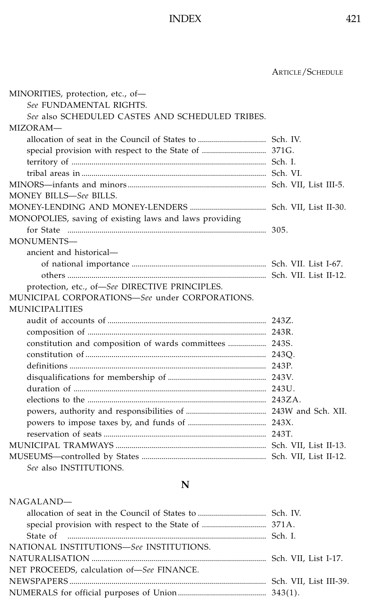................................................................................................... ARTICLE/SCHEDULE

| MINORITIES, protection, etc., of-                       |  |
|---------------------------------------------------------|--|
| See FUNDAMENTAL RIGHTS.                                 |  |
| See also SCHEDULED CASTES AND SCHEDULED TRIBES.         |  |
| MIZORAM-                                                |  |
|                                                         |  |
|                                                         |  |
|                                                         |  |
|                                                         |  |
|                                                         |  |
| MONEY BILLS-See BILLS.                                  |  |
|                                                         |  |
| MONOPOLIES, saving of existing laws and laws providing  |  |
|                                                         |  |
| MONUMENTS-                                              |  |
| ancient and historical—                                 |  |
|                                                         |  |
|                                                         |  |
| protection, etc., of-See DIRECTIVE PRINCIPLES.          |  |
| MUNICIPAL CORPORATIONS-See under CORPORATIONS.          |  |
| <b>MUNICIPALITIES</b>                                   |  |
|                                                         |  |
|                                                         |  |
| constitution and composition of wards committees  243S. |  |
|                                                         |  |
|                                                         |  |
|                                                         |  |
|                                                         |  |
|                                                         |  |
|                                                         |  |
|                                                         |  |
|                                                         |  |
|                                                         |  |
|                                                         |  |
| See also INSTITUTIONS.                                  |  |

### **N**

#### NAGALAND—

| State of municipalminimum municipalminimum municipalminimum Sch. I. |  |
|---------------------------------------------------------------------|--|
| NATIONAL INSTITUTIONS-See INSTITUTIONS.                             |  |
|                                                                     |  |
| NET PROCEEDS, calculation of-See FINANCE.                           |  |
|                                                                     |  |
|                                                                     |  |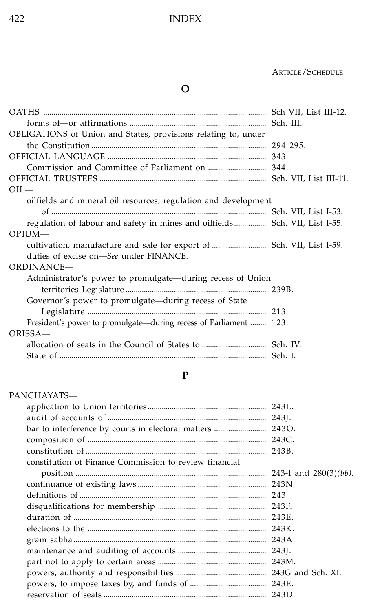### ................................................................................................... ARTICLE/SCHEDULE

# **O**

| OBLIGATIONS of Union and States, provisions relating to, under              |  |
|-----------------------------------------------------------------------------|--|
|                                                                             |  |
|                                                                             |  |
|                                                                             |  |
|                                                                             |  |
| $OII$ —                                                                     |  |
| oilfields and mineral oil resources, regulation and development             |  |
|                                                                             |  |
| regulation of labour and safety in mines and oilfields Sch. VII, List I-55. |  |
| $OPIUM-$                                                                    |  |
|                                                                             |  |
| duties of excise on—See under FINANCE.                                      |  |
| ORDINANCE-                                                                  |  |
| Administrator's power to promulgate—during recess of Union                  |  |
|                                                                             |  |
| Governor's power to promulgate—during recess of State                       |  |
|                                                                             |  |
| President's power to promulgate—during recess of Parliament  123.           |  |
| ORISSA-                                                                     |  |
|                                                                             |  |
|                                                                             |  |

### **P**

| PANCHAYATS—                                            |  |
|--------------------------------------------------------|--|
|                                                        |  |
|                                                        |  |
|                                                        |  |
|                                                        |  |
|                                                        |  |
| constitution of Finance Commission to review financial |  |
|                                                        |  |
|                                                        |  |
|                                                        |  |
|                                                        |  |
|                                                        |  |
|                                                        |  |
|                                                        |  |
|                                                        |  |
|                                                        |  |
|                                                        |  |
|                                                        |  |
|                                                        |  |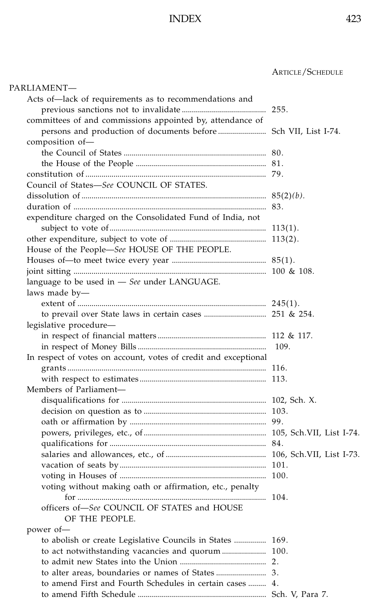| PARLIAMENT—                                                     |       |
|-----------------------------------------------------------------|-------|
| Acts of—lack of requirements as to recommendations and          |       |
|                                                                 |       |
| committees of and commissions appointed by, attendance of       |       |
| persons and production of documents before  Sch VII, List I-74. |       |
| composition of-                                                 |       |
|                                                                 |       |
|                                                                 |       |
|                                                                 |       |
| Council of States-See COUNCIL OF STATES.                        |       |
|                                                                 |       |
|                                                                 |       |
| expenditure charged on the Consolidated Fund of India, not      |       |
|                                                                 |       |
|                                                                 |       |
| House of the People-See HOUSE OF THE PEOPLE.                    |       |
|                                                                 |       |
|                                                                 |       |
| language to be used in $-$ See under LANGUAGE.                  |       |
| laws made by-                                                   |       |
|                                                                 |       |
|                                                                 |       |
| legislative procedure-                                          |       |
|                                                                 |       |
|                                                                 | -109. |
| In respect of votes on account, votes of credit and exceptional |       |
|                                                                 |       |
|                                                                 |       |
| Members of Parliament-                                          |       |
|                                                                 |       |
|                                                                 |       |
|                                                                 |       |
|                                                                 |       |
|                                                                 |       |
|                                                                 |       |
|                                                                 |       |
|                                                                 |       |
| voting without making oath or affirmation, etc., penalty        |       |
|                                                                 |       |
| officers of-See COUNCIL OF STATES and HOUSE                     |       |
| OF THE PEOPLE.                                                  |       |
| power of-                                                       |       |
| to abolish or create Legislative Councils in States  169.       |       |
| to act notwithstanding vacancies and quorum  100.               |       |
|                                                                 |       |
|                                                                 |       |
| to amend First and Fourth Schedules in certain cases  4.        |       |
|                                                                 |       |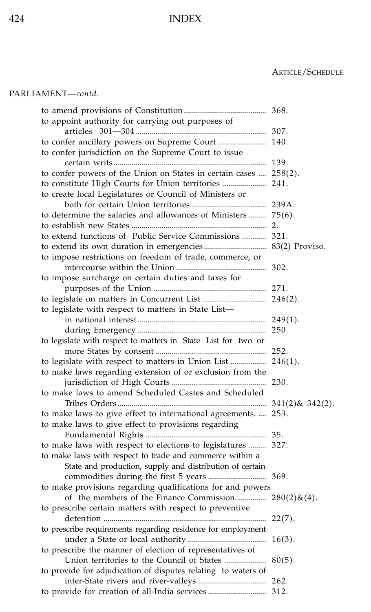### ................................................................................................... ARTICLE/SCHEDULE

#### PARLIAMENT—*contd.*

| to appoint authority for carrying out purposes of                 |           |
|-------------------------------------------------------------------|-----------|
|                                                                   |           |
| to confer ancillary powers on Supreme Court  140.                 |           |
| to confer jurisdiction on the Supreme Court to issue              |           |
|                                                                   |           |
| to confer powers of the Union on States in certain cases  258(2). |           |
| to constitute High Courts for Union territories  241.             |           |
| to create local Legislatures or Council of Ministers or           |           |
|                                                                   |           |
| to determine the salaries and allowances of Ministers  75(6).     |           |
|                                                                   |           |
| to extend functions of Public Service Commissions  321.           |           |
|                                                                   |           |
| to impose restrictions on freedom of trade, commerce, or          |           |
|                                                                   |           |
| to impose surcharge on certain duties and taxes for               |           |
|                                                                   |           |
|                                                                   |           |
| to legislate with respect to matters in State List-               |           |
|                                                                   |           |
|                                                                   |           |
| to legislate with respect to matters in State List for two or     |           |
| to legislate with respect to matters in Union List  246(1).       |           |
| to make laws regarding extension of or exclusion from the         |           |
|                                                                   |           |
| to make laws to amend Scheduled Castes and Scheduled              |           |
|                                                                   |           |
| to make laws to give effect to international agreements.  253.    |           |
| to make laws to give effect to provisions regarding               |           |
|                                                                   |           |
| to make laws with respect to elections to legislatures  327.      |           |
| to make laws with respect to trade and commerce within a          |           |
| State and production, supply and distribution of certain          |           |
|                                                                   |           |
| to make provisions regarding qualifications for and powers        |           |
| of the members of the Finance Commission $280(2) \& (4)$ .        |           |
| to prescribe certain matters with respect to preventive           |           |
|                                                                   |           |
| to prescribe requirements regarding residence for employment      |           |
|                                                                   | $16(3)$ . |
| to prescribe the manner of election of representatives of         |           |
|                                                                   |           |
| to provide for adjudication of disputes relating to waters of     |           |
|                                                                   |           |
| to provide for creation of all-India services 312.                |           |
|                                                                   |           |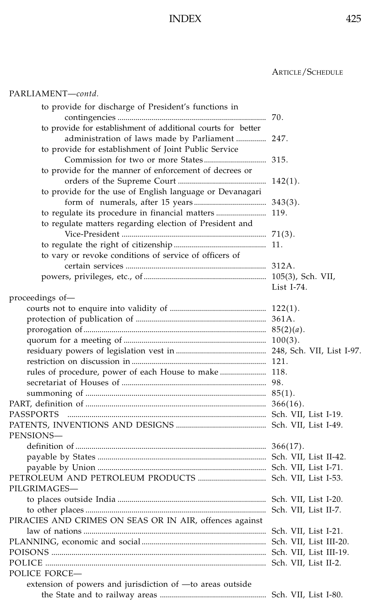## ................................................................................................... ARTICLE/SCHEDULE

#### PARLIAMENT—*contd.*

| to provide for discharge of President's functions in         |               |
|--------------------------------------------------------------|---------------|
|                                                              |               |
| to provide for establishment of additional courts for better |               |
| administration of laws made by Parliament  247.              |               |
| to provide for establishment of Joint Public Service         |               |
|                                                              |               |
| to provide for the manner of enforcement of decrees or       |               |
|                                                              |               |
| to provide for the use of English language or Devanagari     |               |
|                                                              |               |
|                                                              |               |
| to regulate matters regarding election of President and      |               |
|                                                              |               |
|                                                              |               |
| to vary or revoke conditions of service of officers of       |               |
|                                                              |               |
|                                                              |               |
|                                                              | List $I-74$ . |
| proceedings of-                                              |               |
|                                                              |               |
|                                                              |               |
|                                                              |               |
|                                                              |               |
|                                                              |               |
|                                                              |               |
|                                                              |               |
|                                                              |               |
|                                                              |               |
|                                                              |               |
| PASSPORTS                                                    |               |
|                                                              |               |
| PENSIONS—                                                    |               |
|                                                              |               |
|                                                              |               |
|                                                              |               |
|                                                              |               |
| PILGRIMAGES—                                                 |               |
|                                                              |               |
|                                                              |               |
| PIRACIES AND CRIMES ON SEAS OR IN AIR, offences against      |               |
|                                                              |               |
|                                                              |               |
|                                                              |               |
|                                                              |               |
| POLICE FORCE-                                                |               |
| extension of powers and jurisdiction of -to areas outside    |               |
|                                                              |               |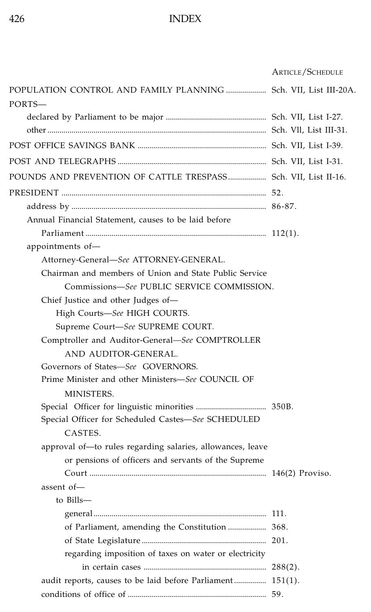|                                                                 | <b>ARTICLE/SCHEDULE</b> |
|-----------------------------------------------------------------|-------------------------|
| POPULATION CONTROL AND FAMILY PLANNING  Sch. VII, List III-20A. |                         |
| PORTS-                                                          |                         |
|                                                                 |                         |
|                                                                 |                         |
|                                                                 |                         |
|                                                                 |                         |
| POUNDS AND PREVENTION OF CATTLE TRESPASS Sch. VII, List II-16.  |                         |
|                                                                 |                         |
|                                                                 |                         |
| Annual Financial Statement, causes to be laid before            |                         |
|                                                                 |                         |
| appointments of-                                                |                         |
| Attorney-General-See ATTORNEY-GENERAL.                          |                         |
| Chairman and members of Union and State Public Service          |                         |
| Commissions-See PUBLIC SERVICE COMMISSION.                      |                         |
| Chief Justice and other Judges of-                              |                         |
| High Courts-See HIGH COURTS.                                    |                         |
| Supreme Court-See SUPREME COURT.                                |                         |
| Comptroller and Auditor-General-See COMPTROLLER                 |                         |
| AND AUDITOR-GENERAL.                                            |                         |
| Governors of States-See GOVERNORS.                              |                         |
| Prime Minister and other Ministers-See COUNCIL OF               |                         |
| MINISTERS.                                                      |                         |
|                                                                 |                         |
| Special Officer for Scheduled Castes-See SCHEDULED              |                         |
| CASTES.                                                         |                         |
| approval of-to rules regarding salaries, allowances, leave      |                         |
| or pensions of officers and servants of the Supreme             |                         |
|                                                                 |                         |
| assent of-                                                      |                         |
| to Bills-                                                       |                         |
|                                                                 |                         |
| of Parliament, amending the Constitution  368.                  |                         |
|                                                                 |                         |
| regarding imposition of taxes on water or electricity           |                         |
|                                                                 |                         |
| audit reports, causes to be laid before Parliament 151(1).      |                         |
|                                                                 |                         |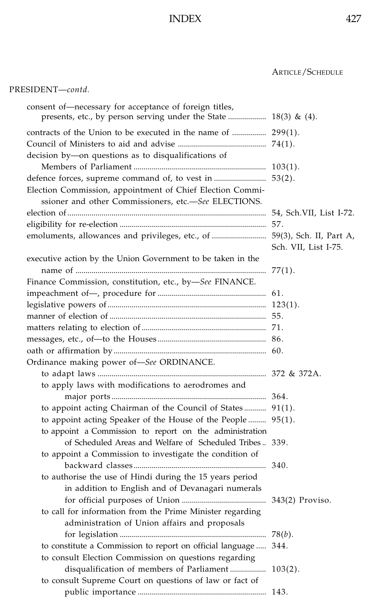| consent of-necessary for acceptance of foreign titles,<br>presents, etc., by person serving under the State  18(3) & (4). |                      |
|---------------------------------------------------------------------------------------------------------------------------|----------------------|
| contracts of the Union to be executed in the name of  299(1).                                                             |                      |
|                                                                                                                           |                      |
| decision by-on questions as to disqualifications of                                                                       |                      |
|                                                                                                                           |                      |
| defence forces, supreme command of, to vest in  53(2).                                                                    |                      |
| Election Commission, appointment of Chief Election Commi-                                                                 |                      |
| ssioner and other Commissioners, etc.-See ELECTIONS.                                                                      |                      |
|                                                                                                                           |                      |
|                                                                                                                           | 57.                  |
| emoluments, allowances and privileges, etc., of  59(3), Sch. II, Part A,                                                  |                      |
|                                                                                                                           | Sch. VII, List I-75. |
| executive action by the Union Government to be taken in the                                                               |                      |
|                                                                                                                           | 77(1).               |
| Finance Commission, constitution, etc., by-See FINANCE.                                                                   |                      |
|                                                                                                                           |                      |
|                                                                                                                           |                      |
|                                                                                                                           |                      |
|                                                                                                                           |                      |
|                                                                                                                           |                      |
|                                                                                                                           |                      |
| Ordinance making power of-See ORDINANCE.                                                                                  |                      |
|                                                                                                                           |                      |
| to apply laws with modifications to aerodromes and                                                                        |                      |
|                                                                                                                           |                      |
| to appoint acting Chairman of the Council of States 91(1).                                                                |                      |
| to appoint acting Speaker of the House of the People  95(1).                                                              |                      |
| to appoint a Commission to report on the administration                                                                   |                      |
| of Scheduled Areas and Welfare of Scheduled Tribes 339.                                                                   |                      |
| to appoint a Commission to investigate the condition of                                                                   |                      |
|                                                                                                                           |                      |
| to authorise the use of Hindi during the 15 years period                                                                  |                      |
| in addition to English and of Devanagari numerals                                                                         |                      |
|                                                                                                                           |                      |
| to call for information from the Prime Minister regarding                                                                 |                      |
| administration of Union affairs and proposals                                                                             |                      |
|                                                                                                                           |                      |
| to constitute a Commission to report on official language  344.                                                           |                      |
| to consult Election Commission on questions regarding                                                                     |                      |
| disqualification of members of Parliament 103(2).                                                                         |                      |
| to consult Supreme Court on questions of law or fact of                                                                   |                      |
|                                                                                                                           |                      |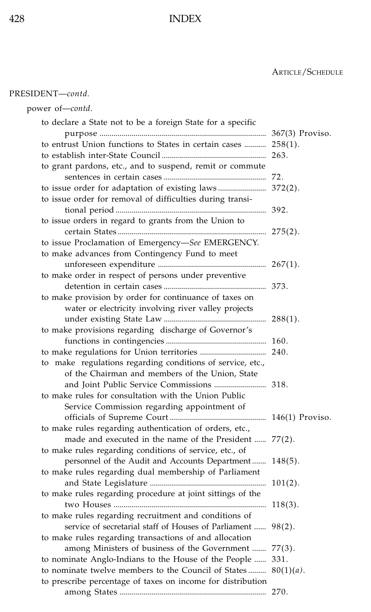| PRESIDENT-contd.                                                                                                  |  |
|-------------------------------------------------------------------------------------------------------------------|--|
| power of-contd.                                                                                                   |  |
| to declare a State not to be a foreign State for a specific                                                       |  |
| to entrust Union functions to States in certain cases  258(1).                                                    |  |
|                                                                                                                   |  |
| to grant pardons, etc., and to suspend, remit or commute                                                          |  |
|                                                                                                                   |  |
|                                                                                                                   |  |
| to issue order for removal of difficulties during transi-                                                         |  |
|                                                                                                                   |  |
| to issue orders in regard to grants from the Union to                                                             |  |
|                                                                                                                   |  |
| to issue Proclamation of Emergency-See EMERGENCY.                                                                 |  |
| to make advances from Contingency Fund to meet                                                                    |  |
|                                                                                                                   |  |
| to make order in respect of persons under preventive                                                              |  |
|                                                                                                                   |  |
| to make provision by order for continuance of taxes on                                                            |  |
| water or electricity involving river valley projects                                                              |  |
|                                                                                                                   |  |
| to make provisions regarding discharge of Governor's                                                              |  |
|                                                                                                                   |  |
|                                                                                                                   |  |
| to make regulations regarding conditions of service, etc.,                                                        |  |
| of the Chairman and members of the Union, State                                                                   |  |
|                                                                                                                   |  |
| to make rules for consultation with the Union Public                                                              |  |
| Service Commission regarding appointment of                                                                       |  |
|                                                                                                                   |  |
| to make rules regarding authentication of orders, etc.,<br>made and executed in the name of the President  77(2). |  |
| to make rules regarding conditions of service, etc., of                                                           |  |
| personnel of the Audit and Accounts Department  148(5).                                                           |  |
| to make rules regarding dual membership of Parliament                                                             |  |
|                                                                                                                   |  |
| to make rules regarding procedure at joint sittings of the                                                        |  |
|                                                                                                                   |  |
| to make rules regarding recruitment and conditions of                                                             |  |
| service of secretarial staff of Houses of Parliament  98(2).                                                      |  |
| to make rules regarding transactions of and allocation                                                            |  |
| among Ministers of business of the Government  77(3).                                                             |  |
| to nominate Anglo-Indians to the House of the People  331.                                                        |  |
| to nominate twelve members to the Council of States $80(1)(a)$ .                                                  |  |
| to prescribe percentage of taxes on income for distribution                                                       |  |
|                                                                                                                   |  |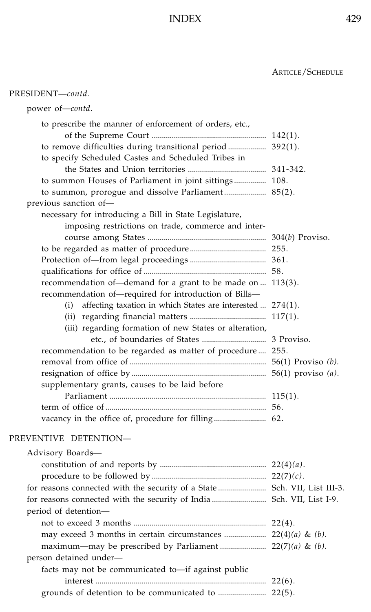| PRESIDENT-contd.                                                          |  |
|---------------------------------------------------------------------------|--|
| power of-contd.                                                           |  |
| to prescribe the manner of enforcement of orders, etc.,                   |  |
|                                                                           |  |
| to specify Scheduled Castes and Scheduled Tribes in                       |  |
|                                                                           |  |
| to summon Houses of Parliament in joint sittings 108.                     |  |
| to summon, prorogue and dissolve Parliament 85(2).                        |  |
| previous sanction of-                                                     |  |
| necessary for introducing a Bill in State Legislature,                    |  |
| imposing restrictions on trade, commerce and inter-                       |  |
|                                                                           |  |
|                                                                           |  |
|                                                                           |  |
|                                                                           |  |
| recommendation of—demand for a grant to be made on  113(3).               |  |
| recommendation of-required for introduction of Bills-                     |  |
| affecting taxation in which States are interested  274(1).<br>(i)         |  |
|                                                                           |  |
| (iii) regarding formation of new States or alteration,                    |  |
|                                                                           |  |
| recommendation to be regarded as matter of procedure 255.                 |  |
|                                                                           |  |
|                                                                           |  |
| supplementary grants, causes to be laid before                            |  |
|                                                                           |  |
|                                                                           |  |
|                                                                           |  |
| PREVENTIVE DETENTION-                                                     |  |
| Advisory Boards-                                                          |  |
|                                                                           |  |
|                                                                           |  |
| for reasons connected with the security of a State  Sch. VII, List III-3. |  |
| for reasons connected with the security of India  Sch. VII, List I-9.     |  |
| period of detention-                                                      |  |
|                                                                           |  |
| may exceed 3 months in certain circumstances $22(4)(a)$ & (b).            |  |
|                                                                           |  |
| person detained under-                                                    |  |
| facts may not be communicated to-if against public                        |  |
|                                                                           |  |
|                                                                           |  |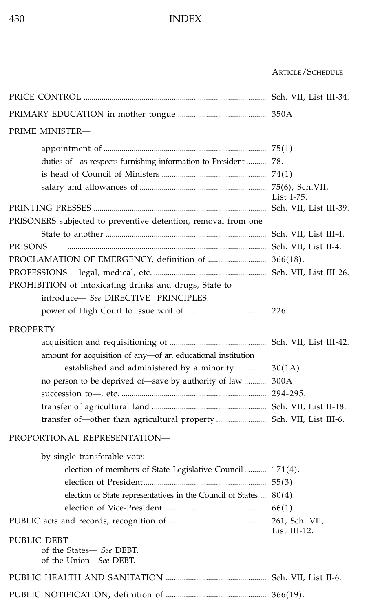| PRIME MINISTER-                                                                                                                                                                                |               |
|------------------------------------------------------------------------------------------------------------------------------------------------------------------------------------------------|---------------|
| duties of-as respects furnishing information to President  78.                                                                                                                                 | List $I-75$ . |
|                                                                                                                                                                                                |               |
| PRISONERS subjected to preventive detention, removal from one<br>PRISONS                                                                                                                       |               |
| PROCLAMATION OF EMERGENCY, definition of  366(18).                                                                                                                                             |               |
| PROHIBITION of intoxicating drinks and drugs, State to<br>introduce- See DIRECTIVE PRINCIPLES.                                                                                                 |               |
|                                                                                                                                                                                                |               |
| PROPERTY-<br>amount for acquisition of any-of an educational institution<br>established and administered by a minority  30(1A).<br>no person to be deprived of—save by authority of law  300A. |               |
|                                                                                                                                                                                                |               |
| PROPORTIONAL REPRESENTATION-                                                                                                                                                                   |               |
| by single transferable vote:<br>election of members of State Legislative Council 171(4).<br>election of State representatives in the Council of States  80(4).                                 |               |
|                                                                                                                                                                                                | List III-12.  |
| PUBLIC DEBT-<br>of the States- See DEBT.<br>of the Union-See DEBT.                                                                                                                             |               |
|                                                                                                                                                                                                |               |
|                                                                                                                                                                                                |               |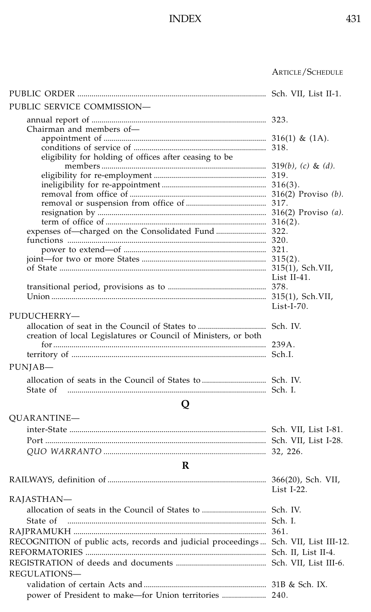|                                                                                     | Article / Schedule |
|-------------------------------------------------------------------------------------|--------------------|
|                                                                                     |                    |
| PUBLIC SERVICE COMMISSION-                                                          |                    |
| Chairman and members of-                                                            |                    |
|                                                                                     |                    |
| eligibility for holding of offices after ceasing to be                              |                    |
|                                                                                     |                    |
|                                                                                     |                    |
|                                                                                     |                    |
|                                                                                     |                    |
|                                                                                     |                    |
|                                                                                     |                    |
|                                                                                     |                    |
|                                                                                     |                    |
|                                                                                     |                    |
|                                                                                     |                    |
|                                                                                     | List II-41.        |
|                                                                                     |                    |
|                                                                                     |                    |
|                                                                                     | $List-I-70.$       |
| PUDUCHERRY-                                                                         |                    |
|                                                                                     |                    |
| creation of local Legislatures or Council of Ministers, or both                     |                    |
|                                                                                     |                    |
| PUNJAB-                                                                             |                    |
|                                                                                     |                    |
|                                                                                     |                    |
| State of                                                                            |                    |
| Q                                                                                   |                    |
| QUARANTINE-                                                                         |                    |
|                                                                                     |                    |
|                                                                                     |                    |
|                                                                                     |                    |
| R                                                                                   |                    |
|                                                                                     |                    |
|                                                                                     | List $I-22$ .      |
| RAJASTHAN-                                                                          |                    |
|                                                                                     |                    |
| State of                                                                            |                    |
|                                                                                     |                    |
| RECOGNITION of public acts, records and judicial proceedings Sch. VII, List III-12. |                    |
|                                                                                     |                    |
|                                                                                     |                    |
| REGULATIONS-                                                                        |                    |
|                                                                                     |                    |
| power of President to make-for Union territories  240.                              |                    |
|                                                                                     |                    |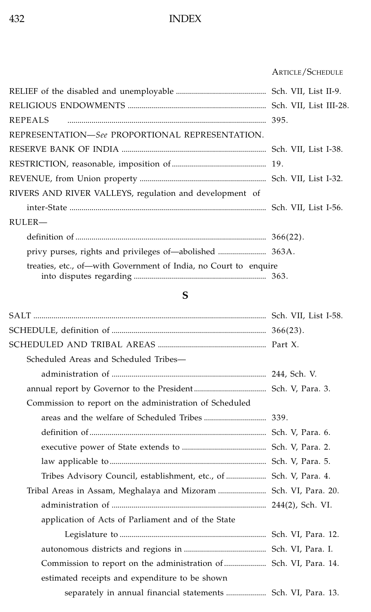### ................................................................................................... ARTICLE/SCHEDULE

| REPEALS                                                          |  |
|------------------------------------------------------------------|--|
| REPRESENTATION—See PROPORTIONAL REPRESENTATION.                  |  |
|                                                                  |  |
|                                                                  |  |
|                                                                  |  |
| RIVERS AND RIVER VALLEYS, regulation and development of          |  |
|                                                                  |  |
| RULER-                                                           |  |
|                                                                  |  |
|                                                                  |  |
| treaties, etc., of—with Government of India, no Court to enquire |  |

# **S**

| Scheduled Areas and Scheduled Tribes-                              |  |
|--------------------------------------------------------------------|--|
|                                                                    |  |
|                                                                    |  |
| Commission to report on the administration of Scheduled            |  |
|                                                                    |  |
|                                                                    |  |
|                                                                    |  |
|                                                                    |  |
| Tribes Advisory Council, establishment, etc., of  Sch. V, Para. 4. |  |
| Tribal Areas in Assam, Meghalaya and Mizoram  Sch. VI, Para. 20.   |  |
|                                                                    |  |
| application of Acts of Parliament and of the State                 |  |
|                                                                    |  |
|                                                                    |  |
|                                                                    |  |
| estimated receipts and expenditure to be shown                     |  |
| separately in annual financial statements  Sch. VI, Para. 13.      |  |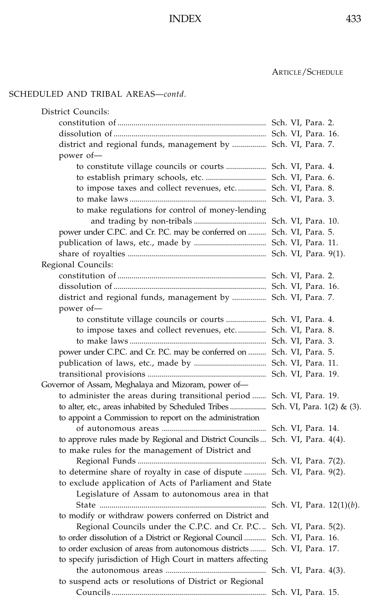### ................................................................................................... ARTICLE/SCHEDULE

### SCHEDULED AND TRIBAL AREAS—*contd*.

| District Councils:                                                              |  |  |
|---------------------------------------------------------------------------------|--|--|
|                                                                                 |  |  |
|                                                                                 |  |  |
| district and regional funds, management by  Sch. VI, Para. 7.                   |  |  |
| power of-                                                                       |  |  |
| to constitute village councils or courts  Sch. VI, Para. 4.                     |  |  |
| to establish primary schools, etc.  Sch. VI, Para. 6.                           |  |  |
| to impose taxes and collect revenues, etc Sch. VI, Para. 8.                     |  |  |
|                                                                                 |  |  |
| to make regulations for control of money-lending                                |  |  |
|                                                                                 |  |  |
| power under C.P.C. and Cr. P.C. may be conferred on  Sch. VI, Para. 5.          |  |  |
|                                                                                 |  |  |
|                                                                                 |  |  |
| Regional Councils:                                                              |  |  |
|                                                                                 |  |  |
|                                                                                 |  |  |
| district and regional funds, management by  Sch. VI, Para. 7.                   |  |  |
| power of-                                                                       |  |  |
| to constitute village councils or courts  Sch. VI, Para. 4.                     |  |  |
| to impose taxes and collect revenues, etc Sch. VI, Para. 8.                     |  |  |
|                                                                                 |  |  |
| power under C.P.C. and Cr. P.C. may be conferred on  Sch. VI, Para. 5.          |  |  |
|                                                                                 |  |  |
|                                                                                 |  |  |
| Governor of Assam, Meghalaya and Mizoram, power of-                             |  |  |
| to administer the areas during transitional period  Sch. VI, Para. 19.          |  |  |
| to alter, etc., areas inhabited by Scheduled Tribes  Sch. VI, Para. 1(2) & (3). |  |  |
| to appoint a Commission to report on the administration                         |  |  |
|                                                                                 |  |  |
| to approve rules made by Regional and District Councils  Sch. VI, Para. 4(4).   |  |  |
| to make rules for the management of District and                                |  |  |
|                                                                                 |  |  |
| to determine share of royalty in case of dispute  Sch. VI, Para. 9(2).          |  |  |
| to exclude application of Acts of Parliament and State                          |  |  |
| Legislature of Assam to autonomous area in that                                 |  |  |
|                                                                                 |  |  |
| to modify or withdraw powers conferred on District and                          |  |  |
| Regional Councils under the C.P.C. and Cr. P.C Sch. VI, Para. 5(2).             |  |  |
| to order dissolution of a District or Regional Council  Sch. VI, Para. 16.      |  |  |
| to order exclusion of areas from autonomous districts  Sch. VI, Para. 17.       |  |  |
| to specify jurisdiction of High Court in matters affecting                      |  |  |
|                                                                                 |  |  |
| to suspend acts or resolutions of District or Regional                          |  |  |
|                                                                                 |  |  |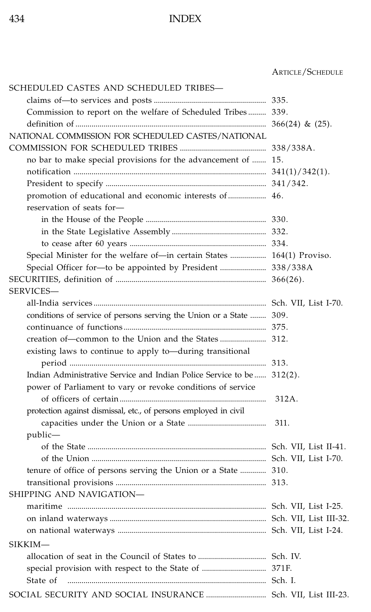#### ARTICLE/SCHEDULE

| SCHEDULED CASTES AND SCHEDULED TRIBES—                                 |       |
|------------------------------------------------------------------------|-------|
|                                                                        |       |
| Commission to report on the welfare of Scheduled Tribes 339.           |       |
|                                                                        |       |
| NATIONAL COMMISSION FOR SCHEDULED CASTES/NATIONAL                      |       |
|                                                                        |       |
| no bar to make special provisions for the advancement of  15.          |       |
|                                                                        |       |
|                                                                        |       |
| promotion of educational and economic interests of  46.                |       |
| reservation of seats for-                                              |       |
|                                                                        |       |
|                                                                        |       |
|                                                                        |       |
| Special Minister for the welfare of—in certain States  164(1) Proviso. |       |
| Special Officer for-to be appointed by President  338/338A             |       |
|                                                                        |       |
| SERVICES-                                                              |       |
|                                                                        |       |
| conditions of service of persons serving the Union or a State  309.    |       |
|                                                                        |       |
|                                                                        |       |
| existing laws to continue to apply to—during transitional              |       |
|                                                                        |       |
| Indian Administrative Service and Indian Police Service to be 312(2).  |       |
| power of Parliament to vary or revoke conditions of service            |       |
|                                                                        | 312A. |
| protection against dismissal, etc., of persons employed in civil       |       |
|                                                                        | 311.  |
| public—                                                                |       |
|                                                                        |       |
|                                                                        |       |
| tenure of office of persons serving the Union or a State  310.         |       |
|                                                                        |       |
| SHIPPING AND NAVIGATION-                                               |       |
|                                                                        |       |
|                                                                        |       |
|                                                                        |       |
| SIKKIM-                                                                |       |
|                                                                        |       |
|                                                                        |       |
| State of                                                               |       |
|                                                                        |       |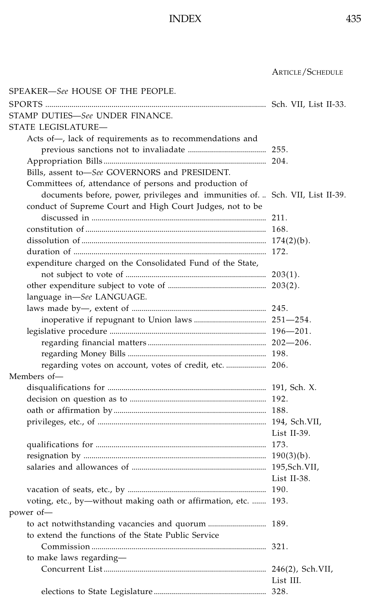................................................................................................... ARTICLE/SCHEDULE

SPEAKER—*See* HOUSE OF THE PEOPLE. SPORTS .............................................................................................................. Sch. VII, List II-33. STAMP DUTIES—*See* UNDER FINANCE. STATE LEGISLATURE— Acts of—, lack of requirements as to recommendations and previous sanctions not to invaliadate ....................................... 255. Appropriation Bills ................................................................................. 204. Bills, assent to—*See* GOVERNORS and PRESIDENT. Committees of, attendance of persons and production of documents before, power, privileges and immunities of. .. Sch. VII, List II-39. conduct of Supreme Court and High Court Judges, not to be discussed in ....................................................................................... 211. constitution of .......................................................................................... 168. dissolution of ............................................................................................ 174(2)(b). duration of ................................................................................................ 172. expenditure charged on the Consolidated Fund of the State, not subject to vote of ...................................................................... 203(1). other expenditure subject to vote of ................................................. 203(2). language in—*See* LANGUAGE. laws made by—, extent of ................................................................... 245. inoperative if repugnant to Union laws .................................... 251—254. legislative procedure .............................................................................. 196—201. regarding financial matters ........................................................... 202—206. regarding Money Bills ..................................................................... 198. regarding votes on account, votes of credit, etc. .................... 206. Members of disqualifications for ............................................................................... 191, Sch. X. decision on question as to .................................................................... 192. oath or affirmation by............................................................................ 188. privileges, etc., of .................................................................................... 194, Sch.VII, List II-39. qualifications for ..................................................................................... 173. resignation by ........................................................................................... 190(3)(b). salaries and allowances of ................................................................... 195,Sch.VII, List II-38. vacation of seats, etc., by ..................................................................... 190. voting, etc., by—without making oath or affirmation, etc. ....... 193. power of to act notwithstanding vacancies and quorum ............................. 189. to extend the functions of the State Public Service Commission ....................................................................................... 321. to make laws regarding— Concurrent List................................................................................. 246(2), Sch.VII, List III. elections to State Legislature ........................................................ 328.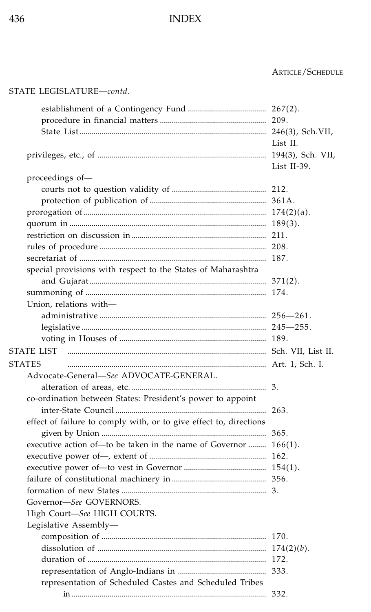#### ARTICLE/SCHEDULE

| STATE LEGISLATURE-contd.                                           |             |
|--------------------------------------------------------------------|-------------|
|                                                                    |             |
|                                                                    |             |
|                                                                    |             |
|                                                                    | List II.    |
|                                                                    |             |
|                                                                    | List II-39. |
| proceedings of-                                                    |             |
|                                                                    |             |
|                                                                    |             |
|                                                                    |             |
|                                                                    |             |
|                                                                    |             |
|                                                                    |             |
|                                                                    |             |
| special provisions with respect to the States of Maharashtra       |             |
|                                                                    |             |
|                                                                    |             |
| Union, relations with-                                             |             |
|                                                                    |             |
|                                                                    |             |
|                                                                    |             |
| <b>STATE LIST</b>                                                  |             |
| <b>STATES</b>                                                      |             |
| Advocate-General-See ADVOCATE-GENERAL.                             |             |
|                                                                    |             |
| co-ordination between States: President's power to appoint         |             |
|                                                                    |             |
| effect of failure to comply with, or to give effect to, directions |             |
|                                                                    |             |
| executive action of-to be taken in the name of Governor  166(1).   |             |
|                                                                    |             |
|                                                                    |             |
|                                                                    |             |
|                                                                    |             |
| Governor-See GOVERNORS.                                            |             |
| High Court-See HIGH COURTS.                                        |             |
| Legislative Assembly-                                              |             |
|                                                                    |             |
|                                                                    |             |
|                                                                    |             |
|                                                                    |             |
| representation of Scheduled Castes and Scheduled Tribes            |             |
|                                                                    |             |
|                                                                    |             |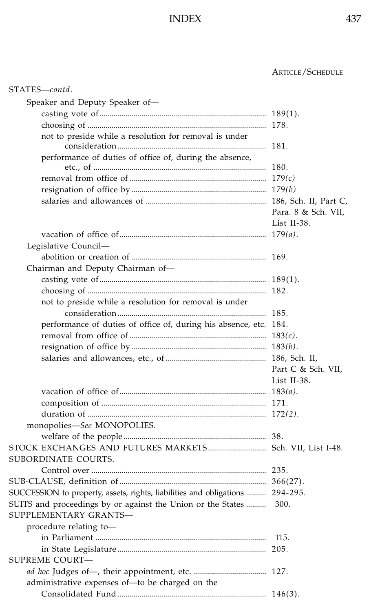| STATES-contd.                                                                        |                     |
|--------------------------------------------------------------------------------------|---------------------|
| Speaker and Deputy Speaker of-                                                       |                     |
|                                                                                      |                     |
|                                                                                      |                     |
| not to preside while a resolution for removal is under                               |                     |
| performance of duties of office of, during the absence,                              |                     |
|                                                                                      |                     |
|                                                                                      |                     |
|                                                                                      |                     |
|                                                                                      |                     |
|                                                                                      | Para. 8 & Sch. VII, |
|                                                                                      | List II-38.         |
|                                                                                      |                     |
| Legislative Council—                                                                 |                     |
|                                                                                      |                     |
| Chairman and Deputy Chairman of-                                                     |                     |
|                                                                                      |                     |
|                                                                                      |                     |
| not to preside while a resolution for removal is under                               |                     |
|                                                                                      |                     |
| performance of duties of office of, during his absence, etc. 184.                    |                     |
|                                                                                      |                     |
|                                                                                      |                     |
|                                                                                      |                     |
|                                                                                      | Part C & Sch. VII,  |
|                                                                                      | List II-38.         |
|                                                                                      |                     |
|                                                                                      |                     |
|                                                                                      |                     |
| monopolies-See MONOPOLIES.                                                           |                     |
|                                                                                      |                     |
| STOCK EXCHANGES AND FUTURES MARKETS Sch. VII, List I-48.                             |                     |
| SUBORDINATE COURTS.                                                                  |                     |
|                                                                                      |                     |
|                                                                                      |                     |
| SUCCESSION to property, assets, rights, liabilities and obligations  294-295.        |                     |
| SUITS and proceedings by or against the Union or the States<br>SUPPLEMENTARY GRANTS- | 300.                |
| procedure relating to-                                                               |                     |
|                                                                                      |                     |
|                                                                                      |                     |
| SUPREME COURT-                                                                       |                     |
|                                                                                      |                     |
| administrative expenses of-to be charged on the                                      |                     |
|                                                                                      |                     |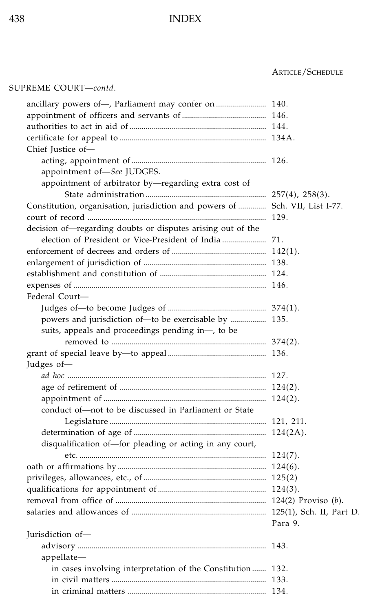### ................................................................................................... ARTICLE/SCHEDULE

### SUPREME COURT—*contd*.

| ancillary powers of-, Parliament may confer on  140.                         |         |
|------------------------------------------------------------------------------|---------|
|                                                                              |         |
|                                                                              |         |
|                                                                              |         |
| Chief Justice of-                                                            |         |
|                                                                              |         |
| appointment of-See JUDGES.                                                   |         |
| appointment of arbitrator by-regarding extra cost of                         |         |
|                                                                              |         |
| Constitution, organisation, jurisdiction and powers of  Sch. VII, List I-77. |         |
|                                                                              |         |
| decision of-regarding doubts or disputes arising out of the                  |         |
|                                                                              |         |
|                                                                              |         |
|                                                                              |         |
|                                                                              |         |
|                                                                              |         |
| Federal Court-                                                               |         |
|                                                                              |         |
| powers and jurisdiction of-to be exercisable by  135.                        |         |
| suits, appeals and proceedings pending in-, to be                            |         |
|                                                                              |         |
|                                                                              |         |
| Judges of-                                                                   |         |
|                                                                              |         |
|                                                                              |         |
|                                                                              |         |
| conduct of-not to be discussed in Parliament or State                        |         |
|                                                                              |         |
|                                                                              |         |
| disqualification of-for pleading or acting in any court,                     |         |
|                                                                              |         |
|                                                                              |         |
|                                                                              |         |
|                                                                              |         |
|                                                                              |         |
|                                                                              |         |
|                                                                              | Para 9. |
| Jurisdiction of-                                                             |         |
|                                                                              |         |
| appellate—                                                                   |         |
| in cases involving interpretation of the Constitution 132.                   |         |
|                                                                              |         |
|                                                                              |         |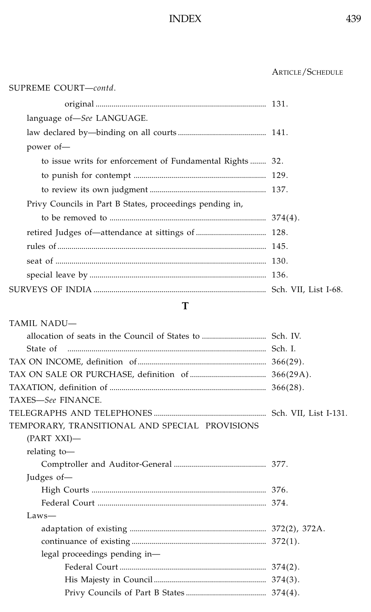## ................................................................................................... ARTICLE/SCHEDULE

| SUPREME COURT-contd.                                     |  |
|----------------------------------------------------------|--|
|                                                          |  |
| language of-See LANGUAGE.                                |  |
|                                                          |  |
| power of-                                                |  |
| to issue writs for enforcement of Fundamental Rights 32. |  |
|                                                          |  |
|                                                          |  |
| Privy Councils in Part B States, proceedings pending in, |  |
|                                                          |  |
|                                                          |  |
|                                                          |  |
|                                                          |  |
|                                                          |  |
|                                                          |  |

#### **T**

| <b>TAMIL NADU-</b>                             |  |
|------------------------------------------------|--|
|                                                |  |
| State of                                       |  |
|                                                |  |
|                                                |  |
|                                                |  |
| TAXES-See FINANCE.                             |  |
|                                                |  |
| TEMPORARY, TRANSITIONAL AND SPECIAL PROVISIONS |  |
| $(PART XXI)$ —                                 |  |
| relating to-                                   |  |
|                                                |  |
| Judges of-                                     |  |
|                                                |  |
|                                                |  |
| $Laws-$                                        |  |
|                                                |  |
|                                                |  |
| legal proceedings pending in-                  |  |
|                                                |  |
|                                                |  |
|                                                |  |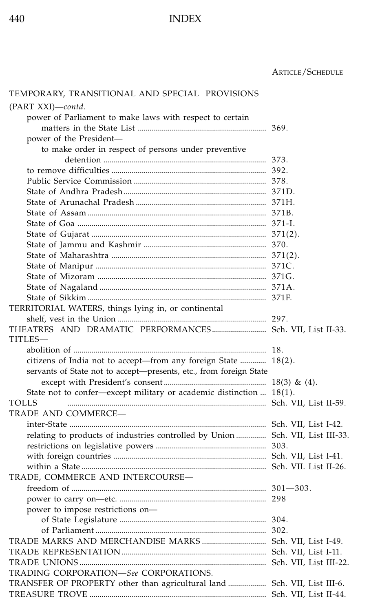| TEMPORARY, TRANSITIONAL AND SPECIAL PROVISIONS                                 |  |
|--------------------------------------------------------------------------------|--|
| (PART XXI)-contd.                                                              |  |
| power of Parliament to make laws with respect to certain                       |  |
|                                                                                |  |
| power of the President-                                                        |  |
| to make order in respect of persons under preventive                           |  |
|                                                                                |  |
|                                                                                |  |
|                                                                                |  |
|                                                                                |  |
|                                                                                |  |
|                                                                                |  |
|                                                                                |  |
|                                                                                |  |
|                                                                                |  |
|                                                                                |  |
|                                                                                |  |
|                                                                                |  |
|                                                                                |  |
|                                                                                |  |
| TERRITORIAL WATERS, things lying in, or continental                            |  |
|                                                                                |  |
| THEATRES AND DRAMATIC PERFORMANCES Sch. VII, List II-33.                       |  |
| TITLES—                                                                        |  |
|                                                                                |  |
| citizens of India not to accept-from any foreign State  18(2).                 |  |
| servants of State not to accept-presents, etc., from foreign State             |  |
|                                                                                |  |
| State not to confer-except military or academic distinction  18(1).            |  |
| TOLLS                                                                          |  |
|                                                                                |  |
| TRADE AND COMMERCE-                                                            |  |
|                                                                                |  |
| relating to products of industries controlled by Union  Sch. VII, List III-33. |  |
|                                                                                |  |
|                                                                                |  |
|                                                                                |  |
| TRADE, COMMERCE AND INTERCOURSE-                                               |  |
|                                                                                |  |
|                                                                                |  |
| power to impose restrictions on-                                               |  |
|                                                                                |  |
|                                                                                |  |
|                                                                                |  |
|                                                                                |  |
|                                                                                |  |
| TRADING CORPORATION-See CORPORATIONS.                                          |  |
| TRANSFER OF PROPERTY other than agricultural land  Sch. VII, List III-6.       |  |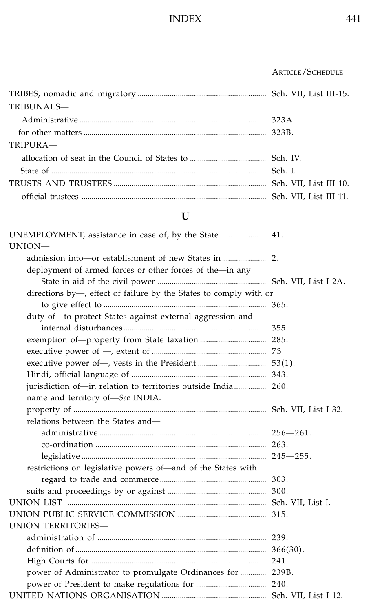| <b>ARTICLE/SCHEDULE</b> |
|-------------------------|
|-------------------------|

| TRIBUNALS- |  |
|------------|--|
|            |  |
|            |  |
| TRIPURA-   |  |
|            |  |
|            |  |
|            |  |
|            |  |

# **U**

| UNION-                                                            |  |
|-------------------------------------------------------------------|--|
|                                                                   |  |
| deployment of armed forces or other forces of the-in any          |  |
|                                                                   |  |
| directions by-, effect of failure by the States to comply with or |  |
|                                                                   |  |
| duty of-to protect States against external aggression and         |  |
|                                                                   |  |
|                                                                   |  |
|                                                                   |  |
|                                                                   |  |
|                                                                   |  |
| jurisdiction of-in relation to territories outside India 260.     |  |
| name and territory of-See INDIA.                                  |  |
|                                                                   |  |
| relations between the States and-                                 |  |
|                                                                   |  |
|                                                                   |  |
|                                                                   |  |
| restrictions on legislative powers of—and of the States with      |  |
|                                                                   |  |
|                                                                   |  |
|                                                                   |  |
|                                                                   |  |
| UNION TERRITORIES-                                                |  |
|                                                                   |  |
|                                                                   |  |
|                                                                   |  |
| power of Administrator to promulgate Ordinances for  239B.        |  |
|                                                                   |  |
|                                                                   |  |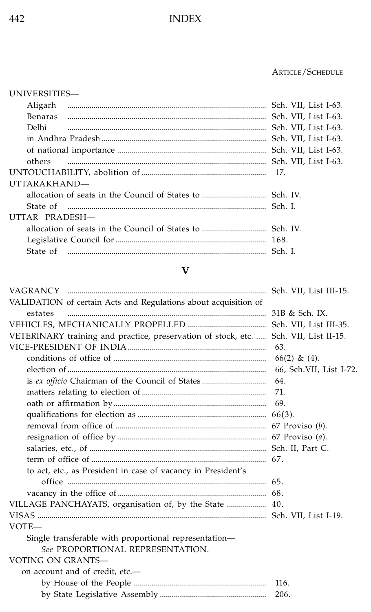### ................................................................................................... ARTICLE/SCHEDULE

### UNIVERSITIES—

| Aligarh        |                                                                     |                      |
|----------------|---------------------------------------------------------------------|----------------------|
| <b>Benaras</b> |                                                                     |                      |
| Delhi          |                                                                     | Sch. VII, List I-63. |
|                |                                                                     |                      |
|                |                                                                     |                      |
| others         |                                                                     |                      |
|                |                                                                     |                      |
| UTTARAKHAND-   |                                                                     |                      |
|                |                                                                     |                      |
|                | State of municipalminimum municipalminimum municipalminimum Sch. I. |                      |
| UTTAR PRADESH- |                                                                     |                      |
|                |                                                                     |                      |
|                |                                                                     |                      |
|                | State of municipalminimum municipalminimum municipalminimum Sch. I. |                      |
|                |                                                                     |                      |

### **V**

| VALIDATION of certain Acts and Regulations about acquisition of                      |                         |
|--------------------------------------------------------------------------------------|-------------------------|
| estates                                                                              |                         |
|                                                                                      |                         |
| VETERINARY training and practice, preservation of stock, etc.  Sch. VII, List II-15. |                         |
|                                                                                      | 63.                     |
|                                                                                      | $66(2)$ & (4).          |
|                                                                                      | 66, Sch.VII, List I-72. |
|                                                                                      | 64.                     |
|                                                                                      | 71.                     |
|                                                                                      |                         |
|                                                                                      |                         |
|                                                                                      |                         |
|                                                                                      |                         |
|                                                                                      |                         |
|                                                                                      |                         |
| to act, etc., as President in case of vacancy in President's                         |                         |
|                                                                                      |                         |
|                                                                                      |                         |
|                                                                                      |                         |
|                                                                                      |                         |
| VOTE-                                                                                |                         |
| Single transferable with proportional representation-                                |                         |
| See PROPORTIONAL REPRESENTATION.                                                     |                         |
| VOTING ON GRANTS-                                                                    |                         |
| on account and of credit, etc.-                                                      |                         |
|                                                                                      | 116.                    |
|                                                                                      | 206.                    |
|                                                                                      |                         |